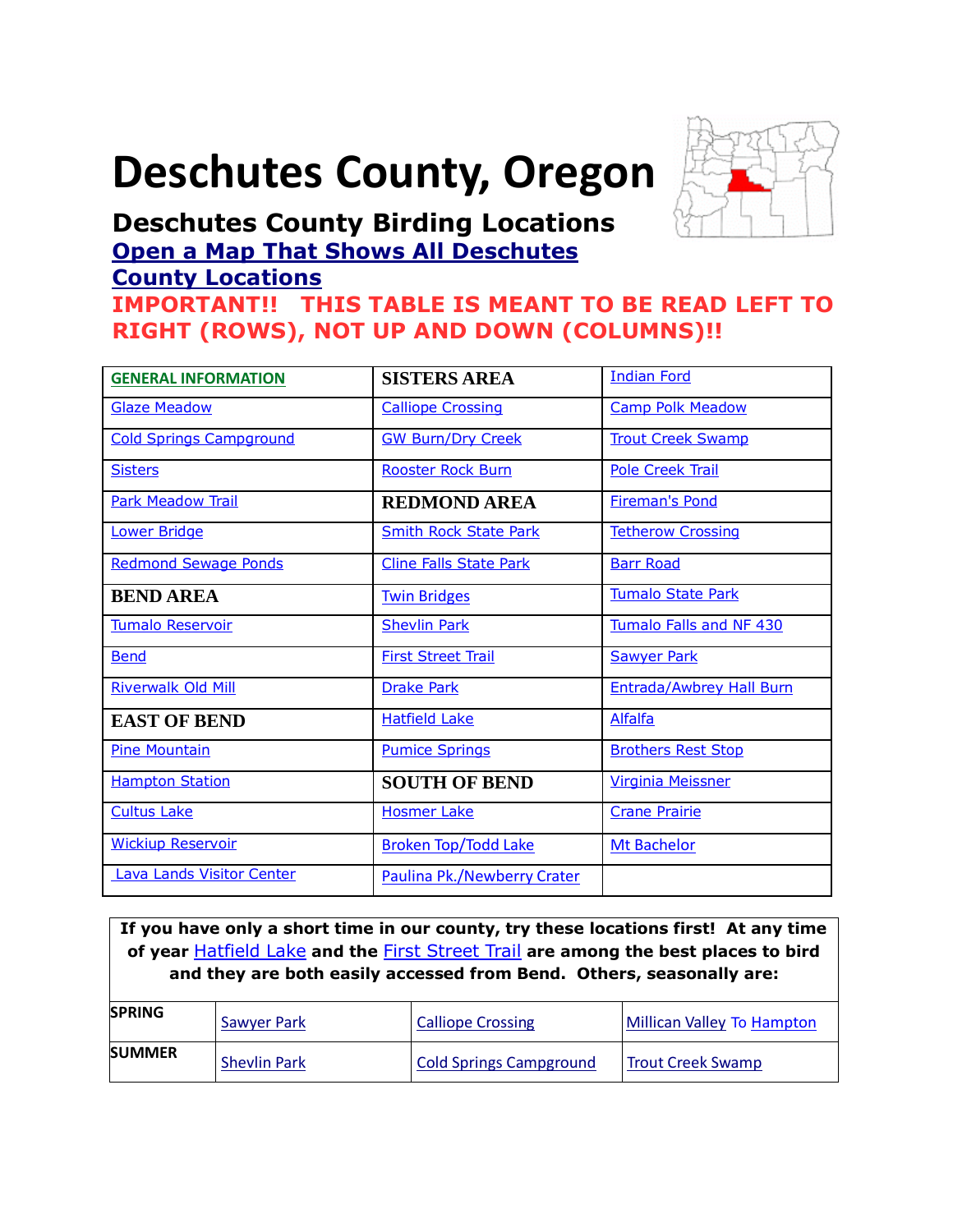# <span id="page-0-0"></span>**Deschutes County, Oregon**



# **Deschutes County Birding Locations [Open a Map That Shows All Deschutes](https://www.google.com/maps/d/edit?mid=zVl1oTDALjf4.kz4q3nuPOir4&usp=sharing)**

# **[County Locations](https://www.google.com/maps/d/edit?mid=zVl1oTDALjf4.kz4q3nuPOir4&usp=sharing) IMPORTANT!! THIS TABLE IS MEANT TO BE READ LEFT TO RIGHT (ROWS), NOT UP AND DOWN (COLUMNS)!!**

| <b>GENERAL INFORMATION</b>       | <b>SISTERS AREA</b>           | <b>Indian Ford</b>              |
|----------------------------------|-------------------------------|---------------------------------|
| <b>Glaze Meadow</b>              | <b>Calliope Crossing</b>      | <b>Camp Polk Meadow</b>         |
| <b>Cold Springs Campground</b>   | <b>GW Burn/Dry Creek</b>      | <b>Trout Creek Swamp</b>        |
| <b>Sisters</b>                   | <b>Rooster Rock Burn</b>      | <b>Pole Creek Trail</b>         |
| <b>Park Meadow Trail</b>         | <b>REDMOND AREA</b>           | <b>Fireman's Pond</b>           |
| <b>Lower Bridge</b>              | <b>Smith Rock State Park</b>  | <b>Tetherow Crossing</b>        |
| <b>Redmond Sewage Ponds</b>      | <b>Cline Falls State Park</b> | <b>Barr Road</b>                |
| <b>BEND AREA</b>                 | <b>Twin Bridges</b>           | <b>Tumalo State Park</b>        |
| <b>Tumalo Reservoir</b>          | <b>Shevlin Park</b>           | Tumalo Falls and NF 430         |
| <b>Bend</b>                      | <b>First Street Trail</b>     | <b>Sawyer Park</b>              |
| <b>Riverwalk Old Mill</b>        | <b>Drake Park</b>             | <b>Entrada/Awbrey Hall Burn</b> |
| <b>EAST OF BEND</b>              | <b>Hatfield Lake</b>          | <b>Alfalfa</b>                  |
| <b>Pine Mountain</b>             | <b>Pumice Springs</b>         | <b>Brothers Rest Stop</b>       |
| <b>Hampton Station</b>           | <b>SOUTH OF BEND</b>          | <b>Virginia Meissner</b>        |
| <b>Cultus Lake</b>               | <b>Hosmer Lake</b>            | <b>Crane Prairie</b>            |
| <b>Wickiup Reservoir</b>         | <b>Broken Top/Todd Lake</b>   | <b>Mt Bachelor</b>              |
| <b>Lava Lands Visitor Center</b> | Paulina Pk./Newberry Crater   |                                 |

**If you have only a short time in our county, try these locations first! At any time of year** [Hatfield Lake](#page-18-3) **and the** First Street Trail **are among the best places to bird and they are both easily accessed from Bend. Others, seasonally are:**

| <b>SPRING</b> | Sawyer Park         | <b>Calliope Crossing</b>       | Millican Valley To Hampton |
|---------------|---------------------|--------------------------------|----------------------------|
| <b>SUMMER</b> | <b>Shevlin Park</b> | <b>Cold Springs Campground</b> | <b>Trout Creek Swamp</b>   |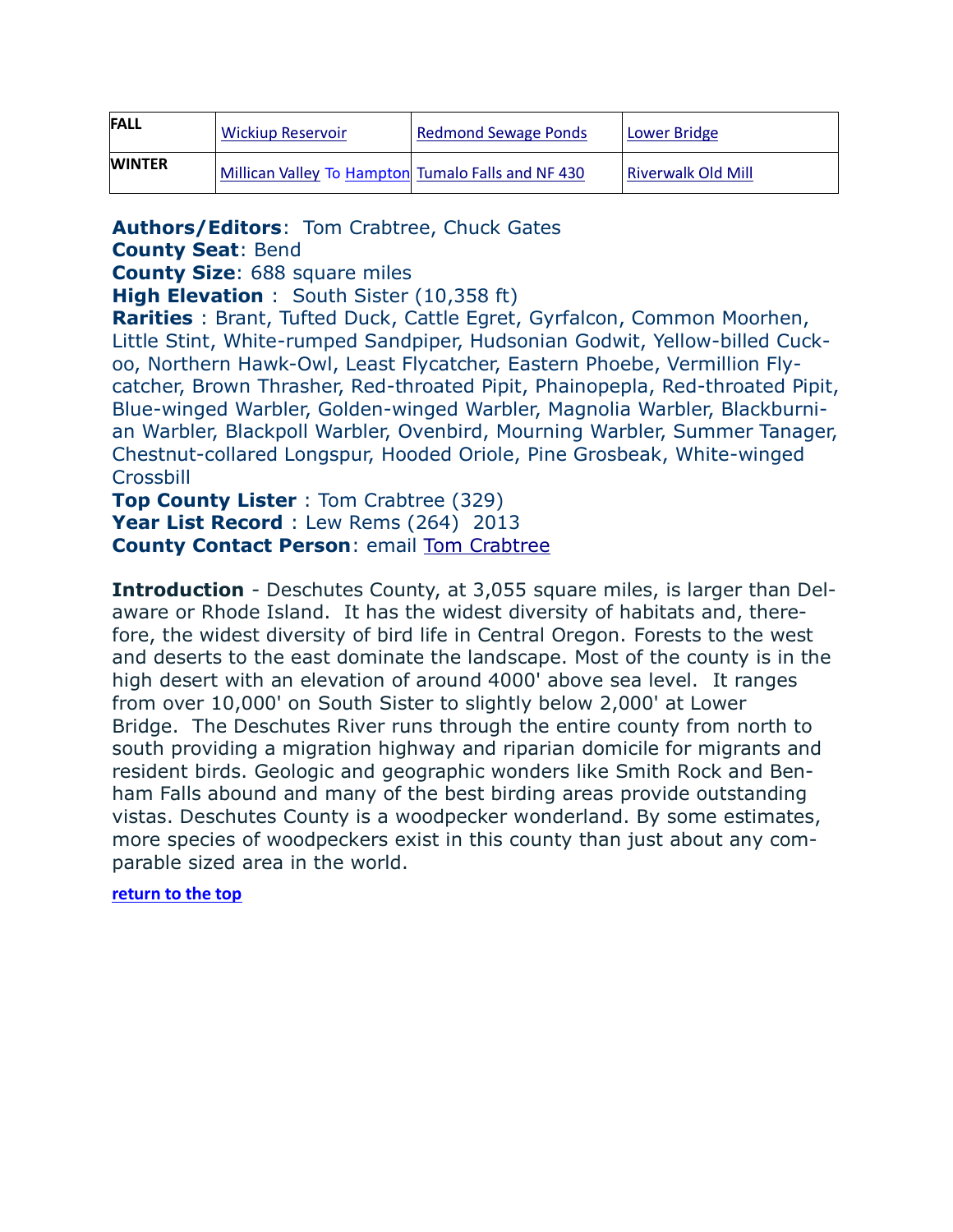| <b>FALL</b>   | <b>Wickiup Reservoir</b>                           | <b>Redmond Sewage Ponds</b> | Lower Bridge              |
|---------------|----------------------------------------------------|-----------------------------|---------------------------|
| <b>WINTER</b> | Millican Valley To Hampton Tumalo Falls and NF 430 |                             | <b>Riverwalk Old Mill</b> |

<span id="page-1-0"></span>**Authors/Editors**: Tom Crabtree, Chuck Gates

**County Seat**: Bend

**County Size**: 688 square miles

**High Elevation** : South Sister (10,358 ft)

**Rarities** : Brant, Tufted Duck, Cattle Egret, Gyrfalcon, Common Moorhen, Little Stint, White-rumped Sandpiper, Hudsonian Godwit, Yellow-billed Cuckoo, Northern Hawk-Owl, Least Flycatcher, Eastern Phoebe, Vermillion Flycatcher, Brown Thrasher, Red-throated Pipit, Phainopepla, Red-throated Pipit, Blue-winged Warbler, Golden-winged Warbler, Magnolia Warbler, Blackburnian Warbler, Blackpoll Warbler, Ovenbird, Mourning Warbler, Summer Tanager, Chestnut-collared Longspur, Hooded Oriole, Pine Grosbeak, White-winged **Crossbill** 

**Top County Lister** : Tom Crabtree (329) **Year List Record** : Lew Rems (264) 2013 **County Contact Person**: email [Tom Crabtree](mailto:tc@empnet.com)

**Introduction** - Deschutes County, at 3,055 square miles, is larger than Delaware or Rhode Island. It has the widest diversity of habitats and, therefore, the widest diversity of bird life in Central Oregon. Forests to the west and deserts to the east dominate the landscape. Most of the county is in the high desert with an elevation of around 4000' above sea level. It ranges from over 10,000' on South Sister to slightly below 2,000' at Lower Bridge. The Deschutes River runs through the entire county from north to south providing a migration highway and riparian domicile for migrants and resident birds. Geologic and geographic wonders like Smith Rock and Benham Falls abound and many of the best birding areas provide outstanding vistas. Deschutes County is a woodpecker wonderland. By some estimates, more species of woodpeckers exist in this county than just about any comparable sized area in the world.

#### **[return to the top](#page-0-0)**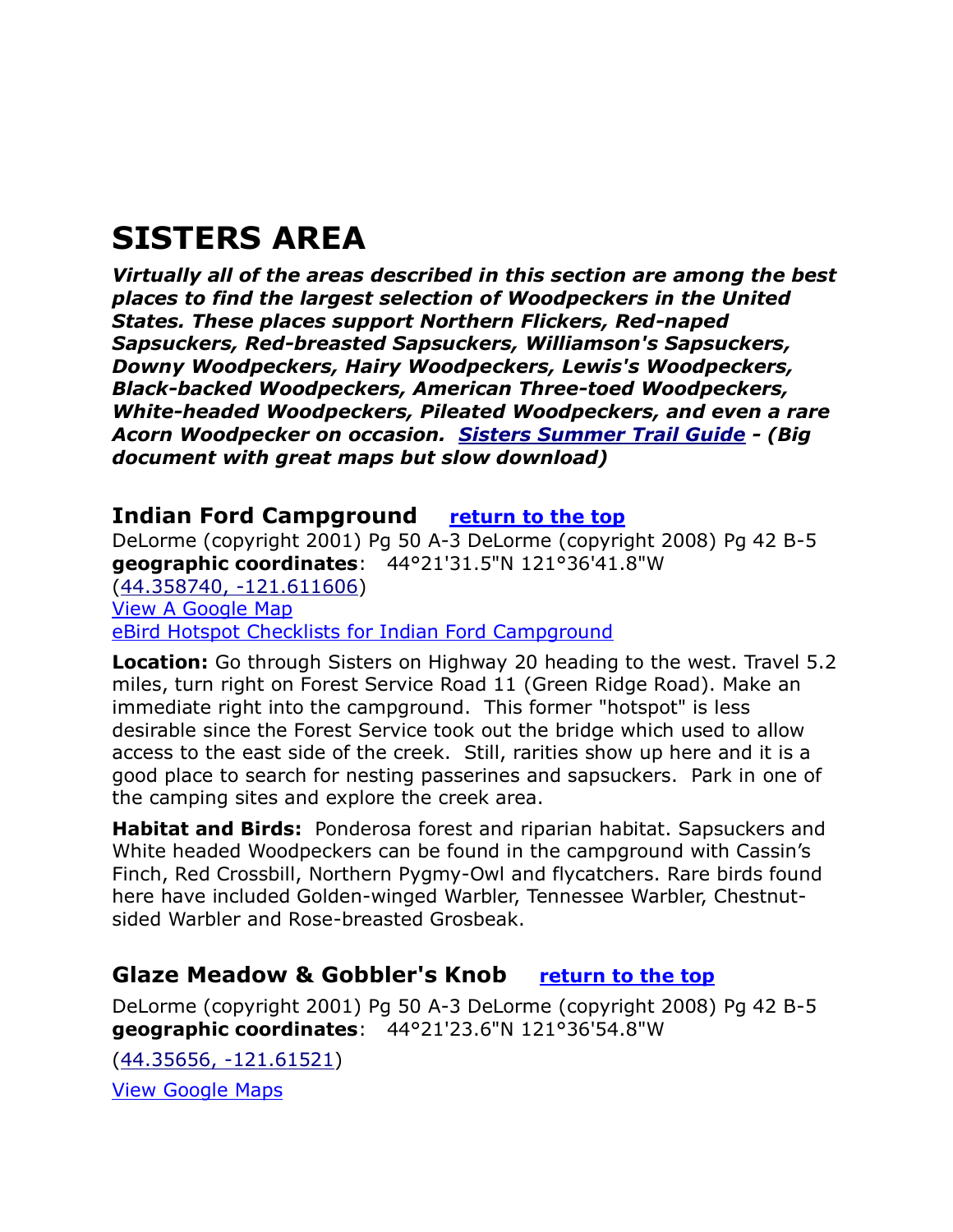# <span id="page-2-0"></span>**SISTERS AREA**

*Virtually all of the areas described in this section are among the best places to find the largest selection of Woodpeckers in the United States. These places support Northern Flickers, Red-naped Sapsuckers, Red-breasted Sapsuckers, Williamson's Sapsuckers, Downy Woodpeckers, Hairy Woodpeckers, Lewis's Woodpeckers, Black-backed Woodpeckers, American Three-toed Woodpeckers, White-headed Woodpeckers, Pileated Woodpeckers, and even a rare Acorn Woodpecker on occasion. [Sisters Summer Trail Guide](http://www.sisterscountry.com/images/uploads/_documents/recreation/SummerTrailGuide-Booklet.pdf) - (Big document with great maps but slow download)*

### <span id="page-2-1"></span>**Indian Ford Campground [return to the top](#page-0-0)**

DeLorme (copyright 2001) Pg 50 A-3 DeLorme (copyright 2008) Pg 42 B-5 **geographic coordinates**: 44°21'31.5"N 121°36'41.8"W [\(44.358740, -121.611606\)](https://www.google.com/maps/place/44°21) [View A Google Map](http://maps.google.com/maps/ms?hl=en&ie=UTF8&msa=0&ll=44.325567,-121.546211&spn=0.106839,0.2211&z=12&msid=108036481085398338899.000462f465442fdba9755) [eBird Hotspot Checklists for Indian Ford Campground](http://ebird.org/ebird/hotspot/L743049)

**Location:** Go through Sisters on Highway 20 heading to the west. Travel 5.2 miles, turn right on Forest Service Road 11 (Green Ridge Road). Make an immediate right into the campground. This former "hotspot" is less desirable since the Forest Service took out the bridge which used to allow access to the east side of the creek. Still, rarities show up here and it is a good place to search for nesting passerines and sapsuckers. Park in one of the camping sites and explore the creek area.

**Habitat and Birds:** Ponderosa forest and riparian habitat. Sapsuckers and White headed Woodpeckers can be found in the campground with Cassin's Finch, Red Crossbill, Northern Pygmy-Owl and flycatchers. Rare birds found here have included Golden-winged Warbler, Tennessee Warbler, Chestnutsided Warbler and Rose-breasted Grosbeak.

# <span id="page-2-2"></span>**Glaze Meadow & Gobbler's Knob [return to the top](#page-0-0)**

DeLorme (copyright 2001) Pg 50 A-3 DeLorme (copyright 2008) Pg 42 B-5 **geographic coordinates**: 44°21'23.6"N 121°36'54.8"W

[\(44.35656, -121.61521\)](https://www.google.com/maps/place/44°21) [View Google Maps](http://maps.google.com/maps/ms?hl=en&ie=UTF8&msa=0&msid=108036481085398338899.000462f465442fdba9755&ll=44.349325,-121.614189&spn=0.047199,0.132093&z=11)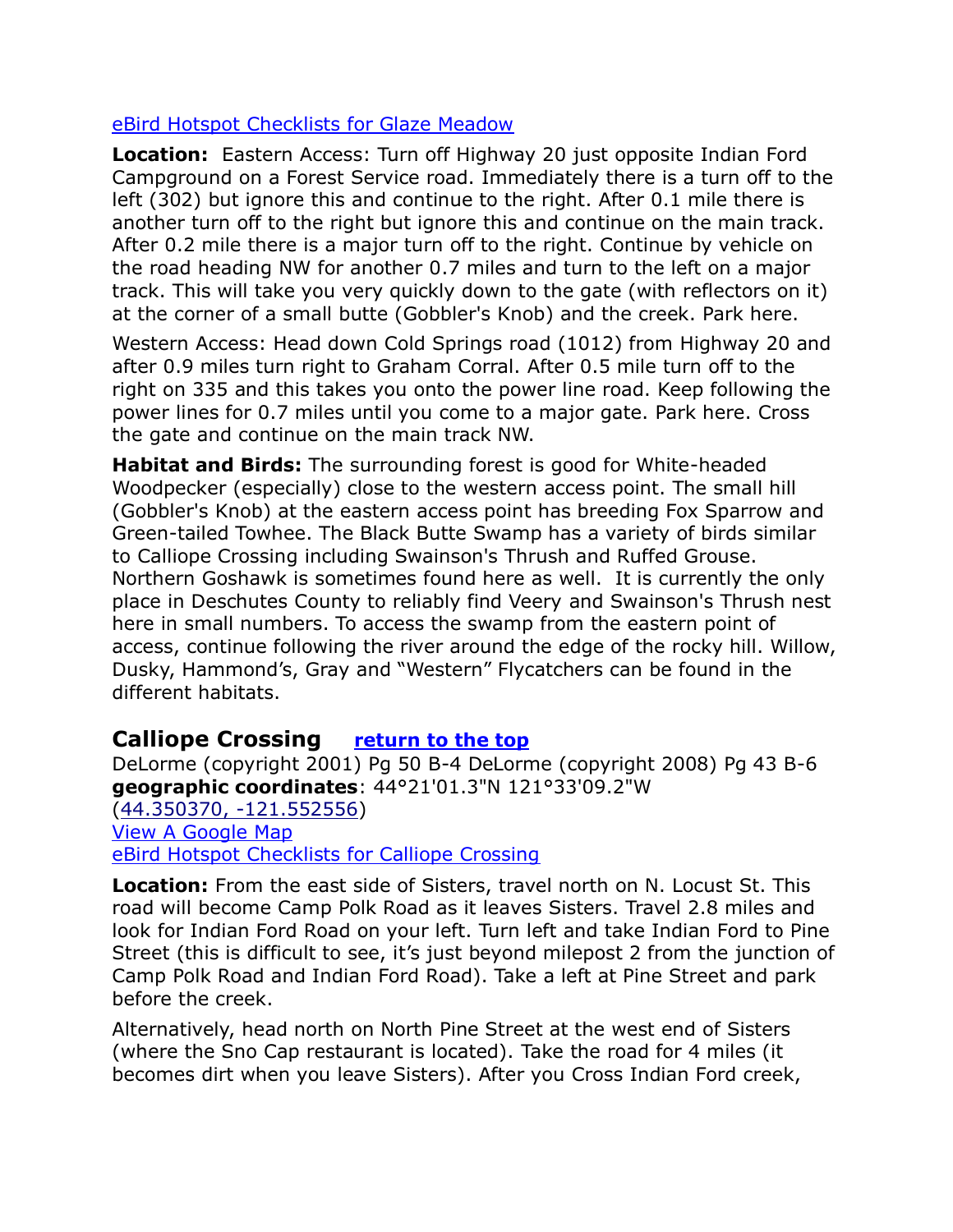#### [eBird Hotspot Checklists for Glaze Meadow](http://ebird.org/ebird/hotspot/L1217133)

**Location:** Eastern Access: Turn off Highway 20 just opposite Indian Ford Campground on a Forest Service road. Immediately there is a turn off to the left (302) but ignore this and continue to the right. After 0.1 mile there is another turn off to the right but ignore this and continue on the main track. After 0.2 mile there is a major turn off to the right. Continue by vehicle on the road heading NW for another 0.7 miles and turn to the left on a major track. This will take you very quickly down to the gate (with reflectors on it) at the corner of a small butte (Gobbler's Knob) and the creek. Park here.

Western Access: Head down Cold Springs road (1012) from Highway 20 and after 0.9 miles turn right to Graham Corral. After 0.5 mile turn off to the right on 335 and this takes you onto the power line road. Keep following the power lines for 0.7 miles until you come to a major gate. Park here. Cross the gate and continue on the main track NW.

**Habitat and Birds:** The surrounding forest is good for White-headed Woodpecker (especially) close to the western access point. The small hill (Gobbler's Knob) at the eastern access point has breeding Fox Sparrow and Green-tailed Towhee. The Black Butte Swamp has a variety of birds similar to Calliope Crossing including Swainson's Thrush and Ruffed Grouse. Northern Goshawk is sometimes found here as well. It is currently the only place in Deschutes County to reliably find Veery and Swainson's Thrush nest here in small numbers. To access the swamp from the eastern point of access, continue following the river around the edge of the rocky hill. Willow, Dusky, Hammond's, Gray and "Western" Flycatchers can be found in the different habitats.

#### <span id="page-3-0"></span>**Calliope Crossing [return to the top](#page-0-0)**

DeLorme (copyright 2001) Pg 50 B-4 DeLorme (copyright 2008) Pg 43 B-6 **geographic coordinates**: 44°21'01.3"N 121°33'09.2"W [\(44.350370, -121.552556\)](https://www.google.com/maps/place/44°21) [View A Google Map](http://maps.google.com/maps/ms?hl=en&ie=UTF8&msa=0&ll=44.325567,-121.546211&spn=0.106839,0.2211&z=12&msid=108036481085398338899.000462f465442fdba9755) [eBird Hotspot Checklists for Calliope Crossing](http://ebird.org/ebird/hotspot/L285637)

**Location:** From the east side of Sisters, travel north on N. Locust St. This road will become Camp Polk Road as it leaves Sisters. Travel 2.8 miles and look for Indian Ford Road on your left. Turn left and take Indian Ford to Pine Street (this is difficult to see, it's just beyond milepost 2 from the junction of Camp Polk Road and Indian Ford Road). Take a left at Pine Street and park before the creek.

Alternatively, head north on North Pine Street at the west end of Sisters (where the Sno Cap restaurant is located). Take the road for 4 miles (it becomes dirt when you leave Sisters). After you Cross Indian Ford creek,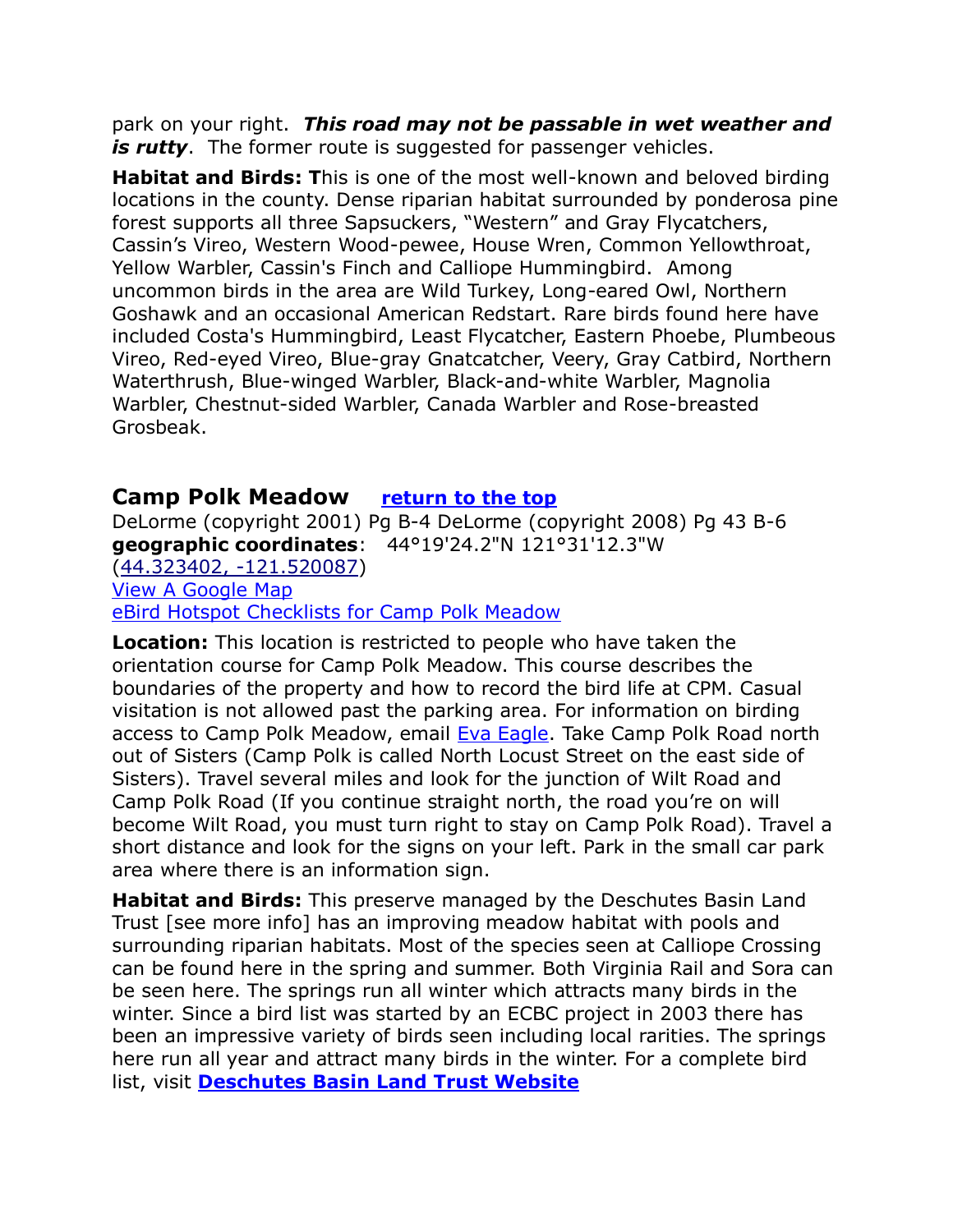park on your right. *This road may not be passable in wet weather and*  is rutty. The former route is suggested for passenger vehicles.

**Habitat and Birds: T**his is one of the most well-known and beloved birding locations in the county. Dense riparian habitat surrounded by ponderosa pine forest supports all three Sapsuckers, "Western" and Gray Flycatchers, Cassin's Vireo, Western Wood-pewee, House Wren, Common Yellowthroat, Yellow Warbler, Cassin's Finch and Calliope Hummingbird. Among uncommon birds in the area are Wild Turkey, Long-eared Owl, Northern Goshawk and an occasional American Redstart. Rare birds found here have included Costa's Hummingbird, Least Flycatcher, Eastern Phoebe, Plumbeous Vireo, Red-eyed Vireo, Blue-gray Gnatcatcher, Veery, Gray Catbird, Northern Waterthrush, Blue-winged Warbler, Black-and-white Warbler, Magnolia Warbler, Chestnut-sided Warbler, Canada Warbler and Rose-breasted Grosbeak.

### <span id="page-4-0"></span>**Camp Polk Meadow [return to the top](#page-0-0)**

DeLorme (copyright 2001) Pg B-4 DeLorme (copyright 2008) Pg 43 B-6 **geographic coordinates**: 44°19'24.2"N 121°31'12.3"W [\(44.323402, -121.520087\)](https://www.google.com/maps/place/44°19) [View A Google Map](http://maps.google.com/maps/ms?hl=en&ie=UTF8&msa=0&ll=44.325567,-121.546211&spn=0.106839,0.2211&z=12&msid=108036481085398338899.000462f465442fdba9755) [eBird Hotspot Checklists for Camp Polk Meadow](http://ebird.org/ebird/hotspot/L1658217)

**Location:** This location is restricted to people who have taken the orientation course for Camp Polk Meadow. This course describes the boundaries of the property and how to record the bird life at CPM. Casual visitation is not allowed past the parking area. For information on birding access to Camp Polk Meadow, email **Eva Eagle**. Take Camp Polk Road north out of Sisters (Camp Polk is called North Locust Street on the east side of Sisters). Travel several miles and look for the junction of Wilt Road and Camp Polk Road (If you continue straight north, the road you're on will become Wilt Road, you must turn right to stay on Camp Polk Road). Travel a short distance and look for the signs on your left. Park in the small car park area where there is an information sign.

**Habitat and Birds:** This preserve managed by the Deschutes Basin Land Trust [see more info] has an improving meadow habitat with pools and surrounding riparian habitats. Most of the species seen at Calliope Crossing can be found here in the spring and summer. Both Virginia Rail and Sora can be seen here. The springs run all winter which attracts many birds in the winter. Since a bird list was started by an ECBC project in 2003 there has been an impressive variety of birds seen including local rarities. The springs here run all year and attract many birds in the winter. For a complete bird list, visit **[Deschutes Basin Land Trust Website](http://www.deschuteslandtrust.org/)**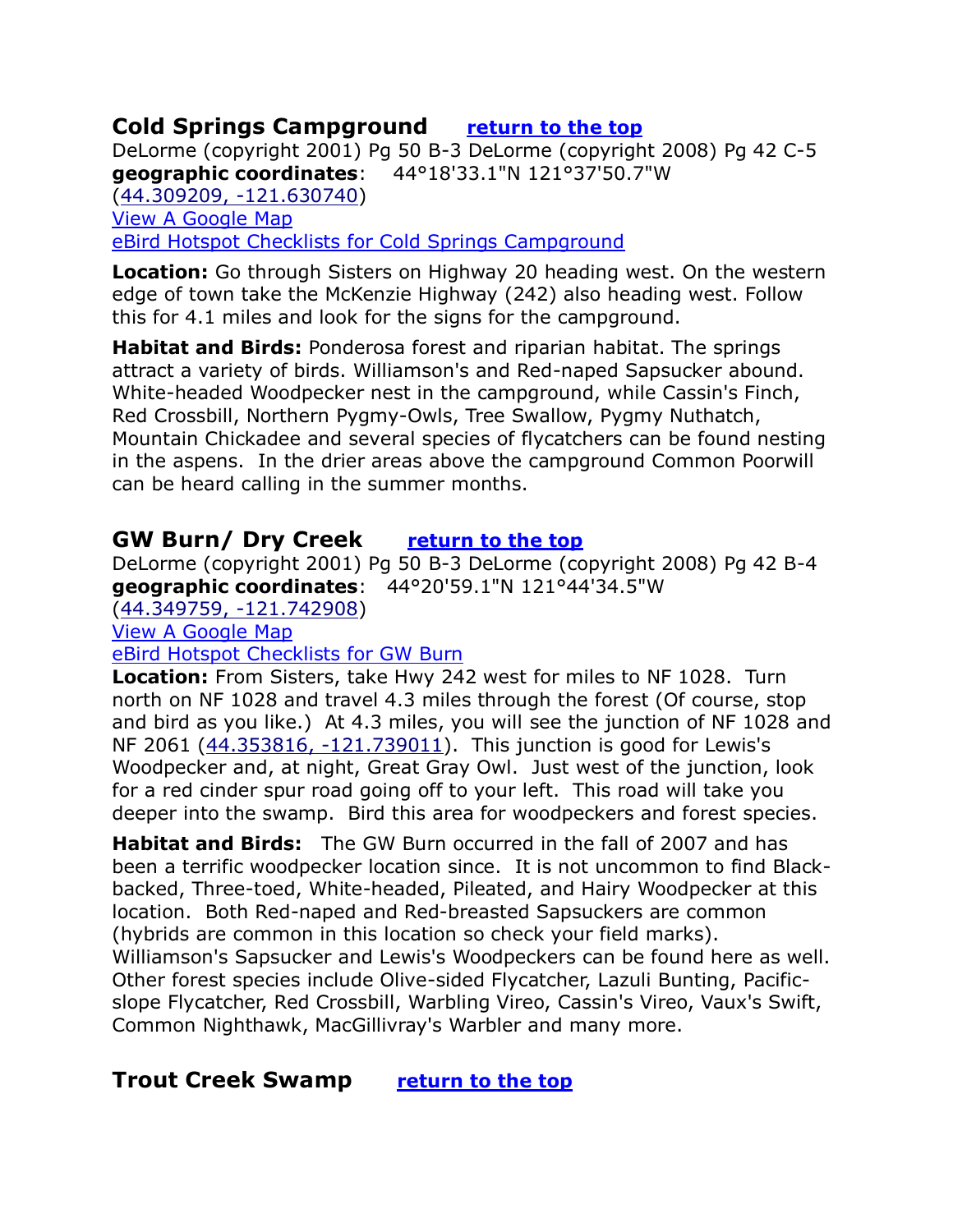# <span id="page-5-0"></span>**Cold Springs Campground [return to the top](#page-0-0)**

DeLorme (copyright 2001) Pg 50 B-3 DeLorme (copyright 2008) Pg 42 C-5 **geographic coordinates**: 44°18'33.1"N 121°37'50.7"W [\(44.309209, -121.630740\)](https://www.google.com/maps/place/44°18) [View A Google Map](http://maps.google.com/maps/ms?hl=en&ie=UTF8&msa=0&ll=44.275688,-121.631699&spn=0.106929,0.2211&z=12&msid=108036481085398338899.000462f4bdd6f5fc24c21) [eBird Hotspot Checklists for Cold Springs Campground](http://ebird.org/ebird/hotspot/L671746)

**Location:** Go through Sisters on Highway 20 heading west. On the western edge of town take the McKenzie Highway (242) also heading west. Follow this for 4.1 miles and look for the signs for the campground.

**Habitat and Birds:** Ponderosa forest and riparian habitat. The springs attract a variety of birds. Williamson's and Red-naped Sapsucker abound. White-headed Woodpecker nest in the campground, while Cassin's Finch, Red Crossbill, Northern Pygmy-Owls, Tree Swallow, Pygmy Nuthatch, Mountain Chickadee and several species of flycatchers can be found nesting in the aspens. In the drier areas above the campground Common Poorwill can be heard calling in the summer months.

# <span id="page-5-1"></span>**GW Burn/ Dry Creek [return to the top](#page-0-0)**

DeLorme (copyright 2001) Pg 50 B-3 DeLorme (copyright 2008) Pg 42 B-4 **geographic coordinates**: 44°20'59.1"N 121°44'34.5"W [\(44.349759, -121.742908\)](https://www.google.com/maps/place/44°20)

[View A Google Map](http://maps.google.com/maps/ms?hl=en&ie=UTF8&msa=0&ll=44.275688,-121.631699&spn=0.106929,0.2211&z=12&msid=108036481085398338899.000462f4bdd6f5fc24c21) 

[eBird Hotspot Checklists for GW Burn](http://ebird.org/ebird/hotspot/L905974)

**Location:** From Sisters, take Hwy 242 west for miles to NF 1028. Turn north on NF 1028 and travel 4.3 miles through the forest (Of course, stop and bird as you like.) At 4.3 miles, you will see the junction of NF 1028 and NF 2061 [\(44.353816, -121.739011\)](https://www.google.com/maps/place/44°21). This junction is good for Lewis's Woodpecker and, at night, Great Gray Owl. Just west of the junction, look for a red cinder spur road going off to your left. This road will take you deeper into the swamp. Bird this area for woodpeckers and forest species.

**Habitat and Birds:** The GW Burn occurred in the fall of 2007 and has been a terrific woodpecker location since. It is not uncommon to find Blackbacked, Three-toed, White-headed, Pileated, and Hairy Woodpecker at this location. Both Red-naped and Red-breasted Sapsuckers are common (hybrids are common in this location so check your field marks). Williamson's Sapsucker and Lewis's Woodpeckers can be found here as well. Other forest species include Olive-sided Flycatcher, Lazuli Bunting, Pacificslope Flycatcher, Red Crossbill, Warbling Vireo, Cassin's Vireo, Vaux's Swift, Common Nighthawk, MacGillivray's Warbler and many more.

# <span id="page-5-2"></span>**Trout Creek Swamp [return to the top](#page-0-0)**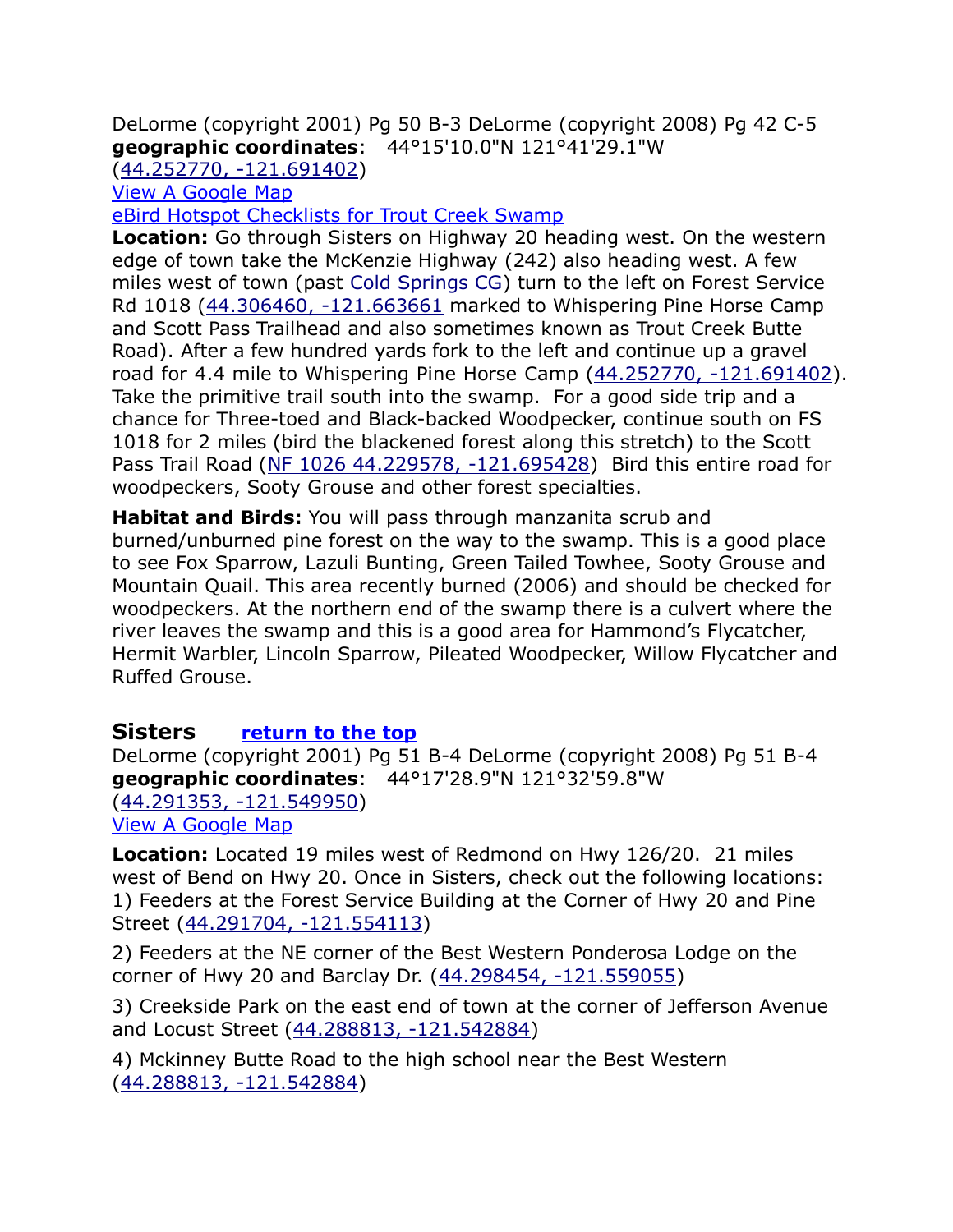DeLorme (copyright 2001) Pg 50 B-3 DeLorme (copyright 2008) Pg 42 C-5 **geographic coordinates**: 44°15'10.0"N 121°41'29.1"W

[\(44.252770, -121.691402\)](https://www.google.com/maps/place/44°15)

[View A Google Map](http://maps.google.com/maps/ms?hl=en&ie=UTF8&msa=0&ll=44.275688,-121.631699&spn=0.106929,0.2211&z=12&msid=108036481085398338899.000462f4bdd6f5fc24c21) 

[eBird Hotspot Checklists for Trout Creek Swamp](http://ebird.org/ebird/hotspot/L1659859)

**Location:** Go through Sisters on Highway 20 heading west. On the western edge of town take the McKenzie Highway (242) also heading west. A few miles west of town (past Cold Springs CG) turn to the left on Forest Service Rd 1018 [\(44.306460, -121.663661](https://www.google.com/maps/place/44°18) marked to Whispering Pine Horse Camp and Scott Pass Trailhead and also sometimes known as Trout Creek Butte Road). After a few hundred yards fork to the left and continue up a gravel road for 4.4 mile to Whispering Pine Horse Camp [\(44.252770, -121.691402\)](https://www.google.com/maps/place/44°15). Take the primitive trail south into the swamp. For a good side trip and a chance for Three-toed and Black-backed Woodpecker, continue south on FS 1018 for 2 miles (bird the blackened forest along this stretch) to the Scott Pass Trail Road [\(NF 1026 44.229578, -121.695428\)](https://www.google.com/maps/place/44°13) Bird this entire road for woodpeckers, Sooty Grouse and other forest specialties.

**Habitat and Birds:** You will pass through manzanita scrub and burned/unburned pine forest on the way to the swamp. This is a good place to see Fox Sparrow, Lazuli Bunting, Green Tailed Towhee, Sooty Grouse and Mountain Quail. This area recently burned (2006) and should be checked for woodpeckers. At the northern end of the swamp there is a culvert where the river leaves the swamp and this is a good area for Hammond's Flycatcher, Hermit Warbler, Lincoln Sparrow, Pileated Woodpecker, Willow Flycatcher and Ruffed Grouse.

#### <span id="page-6-0"></span>**Sisters [return to the top](#page-0-0)**

DeLorme (copyright 2001) Pg 51 B-4 DeLorme (copyright 2008) Pg 51 B-4 **geographic coordinates**: 44°17'28.9"N 121°32'59.8"W [\(44.291353, -121.549950\)](https://www.google.com/maps/place/44°17)

[View A Google Map](http://maps.google.com/maps/ms?hl=en&ie=UTF8&msa=0&ll=44.264871,-121.273956&spn=0.213898,0.4422&z=11&msid=108036481085398338899.000462f439428083ba697)

**Location:** Located 19 miles west of Redmond on Hwy 126/20. 21 miles west of Bend on Hwy 20. Once in Sisters, check out the following locations: 1) Feeders at the Forest Service Building at the Corner of Hwy 20 and Pine Street [\(44.291704, -121.554113\)](https://www.google.com/maps/place/44°17)

2) Feeders at the NE corner of the Best Western Ponderosa Lodge on the corner of Hwy 20 and Barclay Dr. [\(44.298454, -121.559055\)](https://www.google.com/maps/place/44°17)

3) Creekside Park on the east end of town at the corner of Jefferson Avenue and Locust Street [\(44.288813, -121.542884\)](https://www.google.com/maps/place/44°17)

4) Mckinney Butte Road to the high school near the Best Western [\(44.288813, -121.542884\)](file:///C:/Users/cgate/OneDrive/Documents/Bird%20Stuff/Wiki%20Page/Wiki2/Bird%20Finding%20Guide%20Draft%201/Paste%20Upgrade/44.288813,%20-121.542884)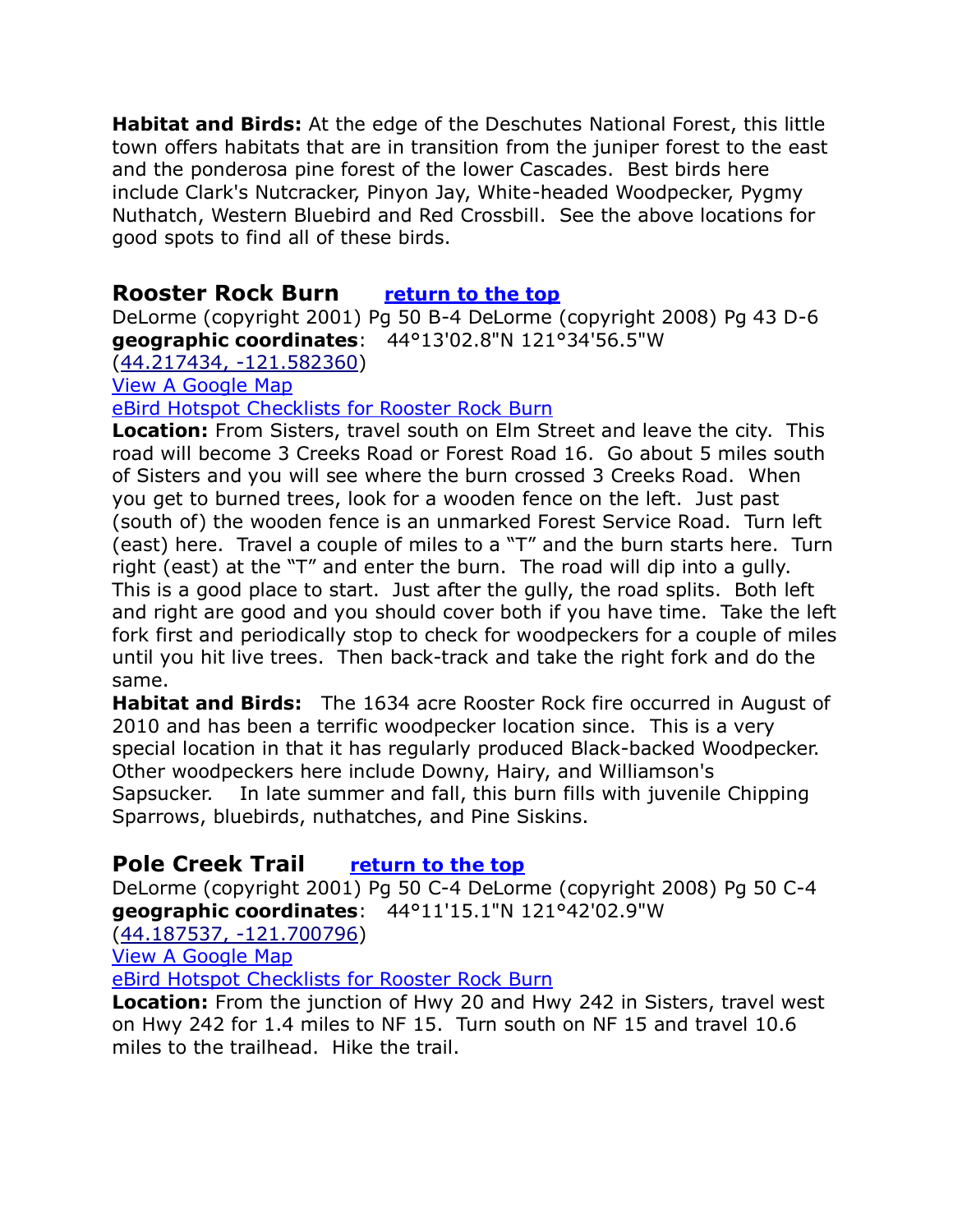**Habitat and Birds:** At the edge of the Deschutes National Forest, this little town offers habitats that are in transition from the juniper forest to the east and the ponderosa pine forest of the lower Cascades. Best birds here include Clark's Nutcracker, Pinyon Jay, White-headed Woodpecker, Pygmy Nuthatch, Western Bluebird and Red Crossbill. See the above locations for good spots to find all of these birds.

# <span id="page-7-0"></span>**Rooster Rock Burn [return to the top](#page-0-0)**

DeLorme (copyright 2001) Pg 50 B-4 DeLorme (copyright 2008) Pg 43 D-6 **geographic coordinates**: 44°13'02.8"N 121°34'56.5"W

[\(44.217434, -121.582360\)](https://www.google.com/maps/place/44°13)

[View A Google Map](http://maps.google.com/maps/ms?hl=en&ie=UTF8&msa=0&ll=44.275688,-121.631699&spn=0.106929,0.2211&z=12&msid=108036481085398338899.000462f4bdd6f5fc24c21) 

[eBird Hotspot Checklists for Rooster Rock Burn](http://ebird.org/ebird/hotspot/L1215207)

**Location:** From Sisters, travel south on Elm Street and leave the city. This road will become 3 Creeks Road or Forest Road 16. Go about 5 miles south of Sisters and you will see where the burn crossed 3 Creeks Road. When you get to burned trees, look for a wooden fence on the left. Just past (south of) the wooden fence is an unmarked Forest Service Road. Turn left (east) here. Travel a couple of miles to a "T" and the burn starts here. Turn right (east) at the "T" and enter the burn. The road will dip into a gully. This is a good place to start. Just after the gully, the road splits. Both left and right are good and you should cover both if you have time. Take the left fork first and periodically stop to check for woodpeckers for a couple of miles until you hit live trees. Then back-track and take the right fork and do the same.

**Habitat and Birds:** The 1634 acre Rooster Rock fire occurred in August of 2010 and has been a terrific woodpecker location since. This is a very special location in that it has regularly produced Black-backed Woodpecker. Other woodpeckers here include Downy, Hairy, and Williamson's Sapsucker. In late summer and fall, this burn fills with juvenile Chipping Sparrows, bluebirds, nuthatches, and Pine Siskins.

# <span id="page-7-1"></span>**Pole Creek Trail [return to the top](#page-0-0)**

DeLorme (copyright 2001) Pg 50 C-4 DeLorme (copyright 2008) Pg 50 C-4 **geographic coordinates**: 44°11'15.1"N 121°42'02.9"W

[\(44.187537, -121.700796\)](https://www.google.com/maps/place/44°11)

[View A Google Map](http://maps.google.com/maps/ms?hl=en&ie=UTF8&msa=0&ll=44.275688,-121.631699&spn=0.106929,0.2211&z=12&msid=108036481085398338899.000462f4bdd6f5fc24c21) 

[eBird Hotspot Checklists for Rooster Rock Burn](http://ebird.org/ebird/hotspot/L1215207)

**Location:** From the junction of Hwy 20 and Hwy 242 in Sisters, travel west on Hwy 242 for 1.4 miles to NF 15. Turn south on NF 15 and travel 10.6 miles to the trailhead. Hike the trail.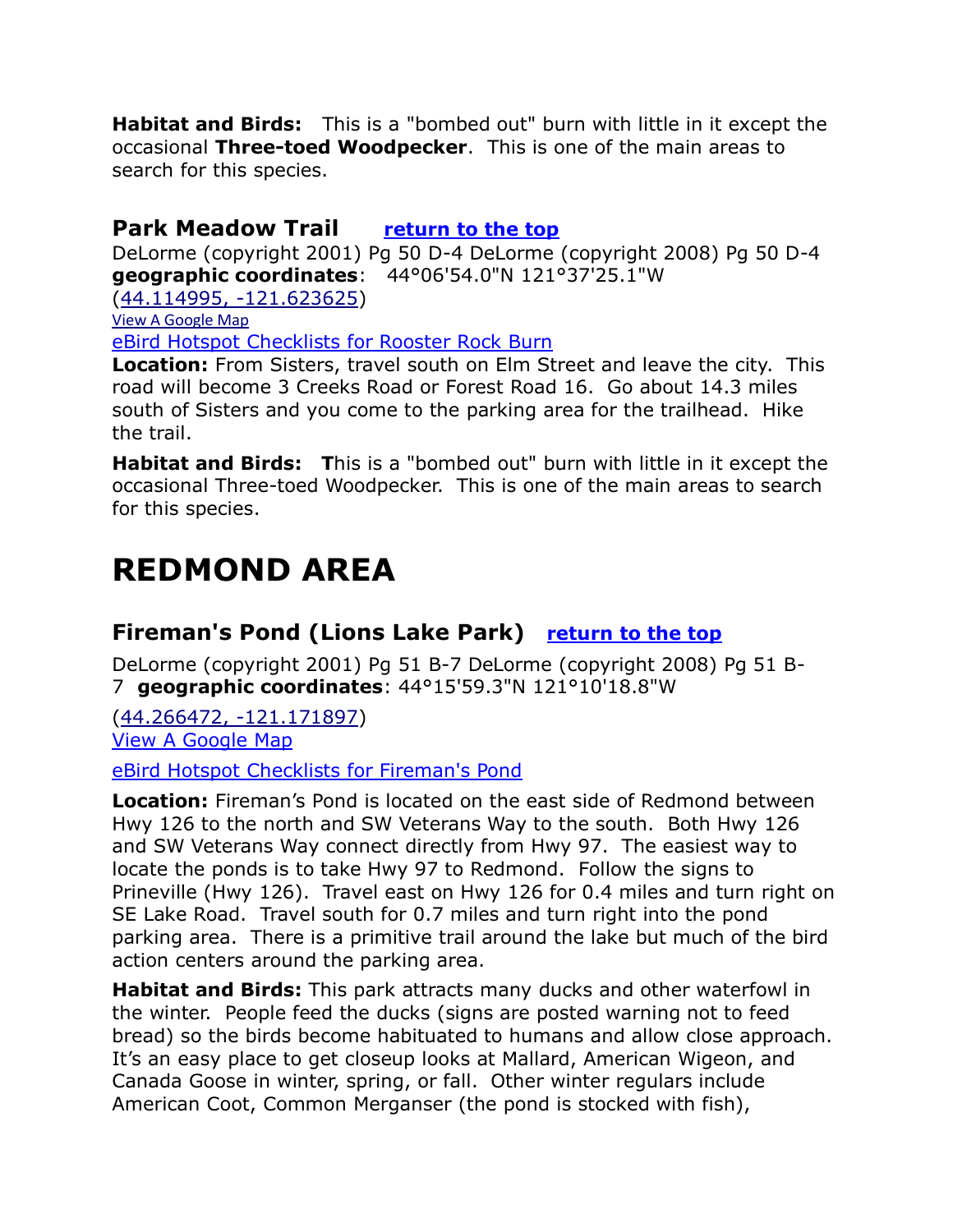**Habitat and Birds:** This is a "bombed out" burn with little in it except the occasional **Three-toed Woodpecker**. This is one of the main areas to search for this species.

# <span id="page-8-0"></span>**Park Meadow Trail [return to the top](#page-0-0)**

DeLorme (copyright 2001) Pg 50 D-4 DeLorme (copyright 2008) Pg 50 D-4 **geographic coordinates**: 44°06'54.0"N 121°37'25.1"W

[\(44.114995, -121.623625\)](https://www.google.com/maps/place/44°06)

[View A Google Map](http://maps.google.com/maps/ms?hl=en&ie=UTF8&msa=0&ll=44.275688,-121.631699&spn=0.106929,0.2211&z=12&msid=108036481085398338899.000462f4bdd6f5fc24c21) 

[eBird Hotspot Checklists for Rooster Rock Burn](http://ebird.org/ebird/hotspot/L1215207)

**Location:** From Sisters, travel south on Elm Street and leave the city. This road will become 3 Creeks Road or Forest Road 16. Go about 14.3 miles south of Sisters and you come to the parking area for the trailhead. Hike the trail.

**Habitat and Birds: T**his is a "bombed out" burn with little in it except the occasional Three-toed Woodpecker. This is one of the main areas to search for this species.

# <span id="page-8-1"></span>**REDMOND AREA**

# <span id="page-8-2"></span>**Fireman's Pond (Lions Lake Park) [return to the top](#page-0-0)**

DeLorme (copyright 2001) Pg 51 B-7 DeLorme (copyright 2008) Pg 51 B-7 **geographic coordinates**: 44°15'59.3"N 121°10'18.8"W

[\(44.266472, -121.17189](https://www.google.com/maps/place/44°15)7) [View A Google Map](http://maps.google.com/maps/ms?hl=en&ie=UTF8&msa=0&ll=44.348404,-121.279449&spn=0.213594,0.4422&z=11&msid=108036481085398338899.000462f3e5255748e5893)

[eBird Hotspot Checklists for Fireman's Pond](http://ebird.org/ebird/hotspot/L2082396)

**Location:** Fireman's Pond is located on the east side of Redmond between Hwy 126 to the north and SW Veterans Way to the south. Both Hwy 126 and SW Veterans Way connect directly from Hwy 97. The easiest way to locate the ponds is to take Hwy 97 to Redmond. Follow the signs to Prineville (Hwy 126). Travel east on Hwy 126 for 0.4 miles and turn right on SE Lake Road. Travel south for 0.7 miles and turn right into the pond parking area. There is a primitive trail around the lake but much of the bird action centers around the parking area.

**Habitat and Birds:** This park attracts many ducks and other waterfowl in the winter. People feed the ducks (signs are posted warning not to feed bread) so the birds become habituated to humans and allow close approach. It's an easy place to get closeup looks at Mallard, American Wigeon, and Canada Goose in winter, spring, or fall. Other winter regulars include American Coot, Common Merganser (the pond is stocked with fish),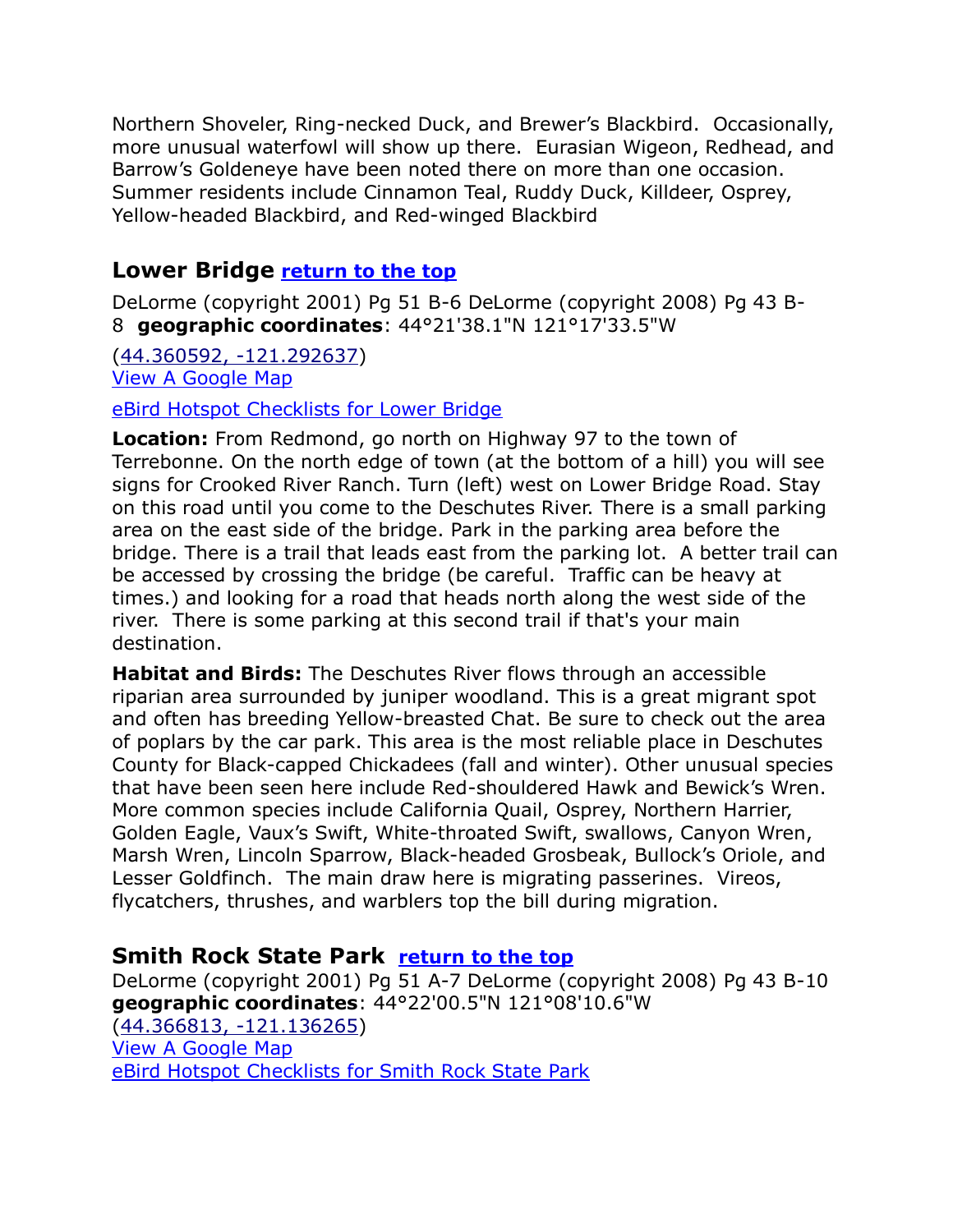Northern Shoveler, Ring-necked Duck, and Brewer's Blackbird. Occasionally, more unusual waterfowl will show up there. Eurasian Wigeon, Redhead, and Barrow's Goldeneye have been noted there on more than one occasion. Summer residents include Cinnamon Teal, Ruddy Duck, Killdeer, Osprey, Yellow-headed Blackbird, and Red-winged Blackbird

# <span id="page-9-0"></span>**Lower Bridge [return to the top](#page-0-0)**

DeLorme (copyright 2001) Pg 51 B-6 DeLorme (copyright 2008) Pg 43 B-8 **geographic coordinates**: 44°21'38.1"N 121°17'33.5"W

[\(44.360592, -121.292637\)](https://www.google.com/maps/place/44°21) [View A Google Map](http://maps.google.com/maps/ms?hl=en&ie=UTF8&msa=0&ll=44.348404,-121.279449&spn=0.213594,0.4422&z=11&msid=108036481085398338899.000462f3e5255748e5893)

[eBird Hotspot Checklists for Lower Bridge](http://ebird.org/ebird/hotspot/L447449)

**Location:** From Redmond, go north on Highway 97 to the town of Terrebonne. On the north edge of town (at the bottom of a hill) you will see signs for Crooked River Ranch. Turn (left) west on Lower Bridge Road. Stay on this road until you come to the Deschutes River. There is a small parking area on the east side of the bridge. Park in the parking area before the bridge. There is a trail that leads east from the parking lot. A better trail can be accessed by crossing the bridge (be careful. Traffic can be heavy at times.) and looking for a road that heads north along the west side of the river. There is some parking at this second trail if that's your main destination.

**Habitat and Birds:** The Deschutes River flows through an accessible riparian area surrounded by juniper woodland. This is a great migrant spot and often has breeding Yellow-breasted Chat. Be sure to check out the area of poplars by the car park. This area is the most reliable place in Deschutes County for Black-capped Chickadees (fall and winter). Other unusual species that have been seen here include Red-shouldered Hawk and Bewick's Wren. More common species include California Quail, Osprey, Northern Harrier, Golden Eagle, Vaux's Swift, White-throated Swift, swallows, Canyon Wren, Marsh Wren, Lincoln Sparrow, Black-headed Grosbeak, Bullock's Oriole, and Lesser Goldfinch. The main draw here is migrating passerines. Vireos, flycatchers, thrushes, and warblers top the bill during migration.

# <span id="page-9-1"></span>**Smith Rock State Park [return to the top](#page-0-0)**

DeLorme (copyright 2001) Pg 51 A-7 DeLorme (copyright 2008) Pg 43 B-10 **geographic coordinates**: 44°22'00.5"N 121°08'10.6"W [\(44.366813, -121.136265\)](https://www.google.com/maps/place/44°22) [View A Google Map](http://maps.google.com/maps/ms?hl=en&ie=UTF8&msa=0&z=13&msid=108036481085398338899.000462f3c44f457787fb9) [eBird Hotspot Checklists for Smith Rock State Park](http://ebird.org/ebird/hotspot/L564147)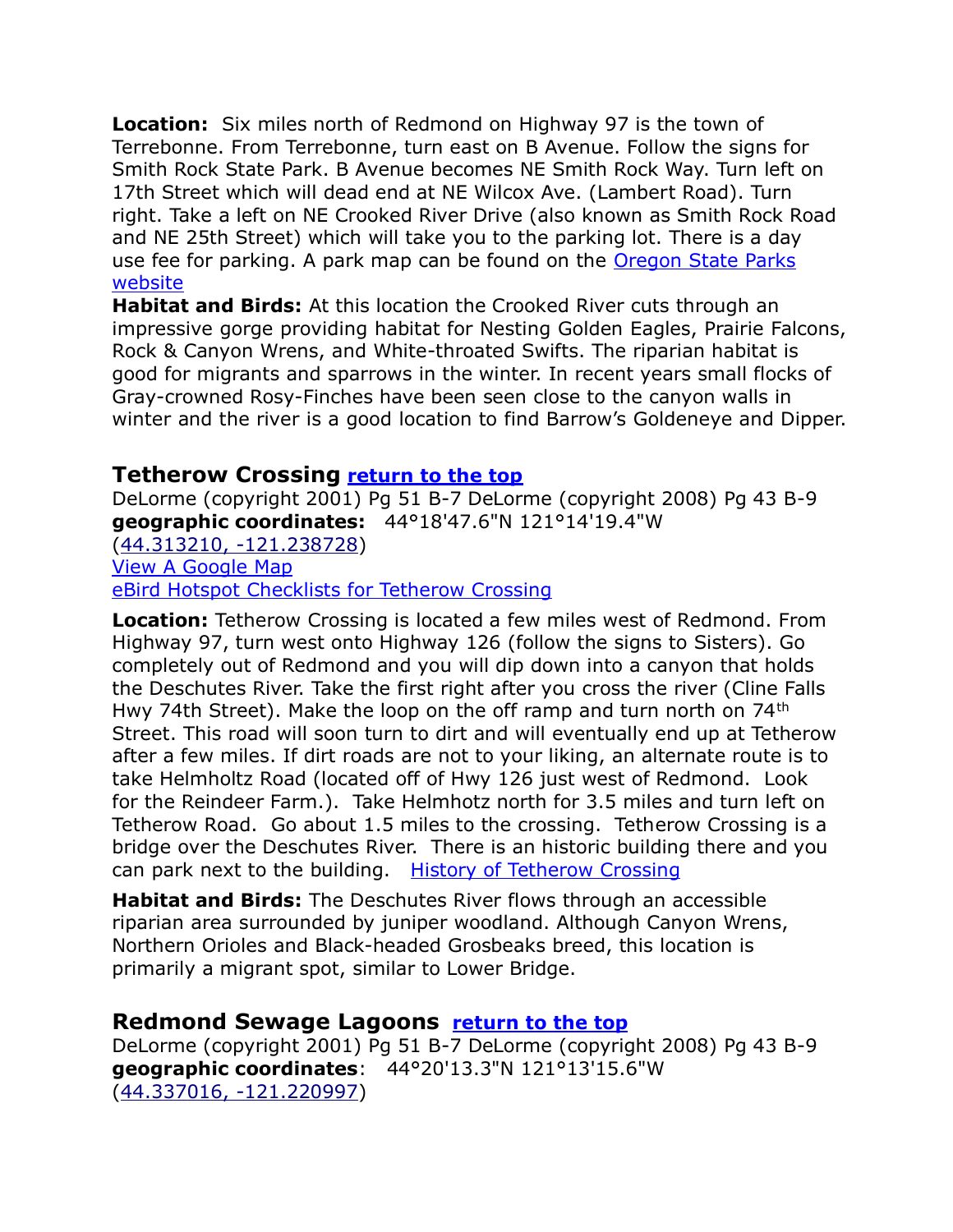**Location:** Six miles north of Redmond on Highway 97 is the town of Terrebonne. From Terrebonne, turn east on B Avenue. Follow the signs for Smith Rock State Park. B Avenue becomes NE Smith Rock Way. Turn left on 17th Street which will dead end at NE Wilcox Ave. (Lambert Road). Turn right. Take a left on NE Crooked River Drive (also known as Smith Rock Road and NE 25th Street) which will take you to the parking lot. There is a day use fee for parking. A park map can be found on the [Oregon State Parks](http://www.oregonstateparks.org/park_51.php)  [website](http://www.oregonstateparks.org/park_51.php)

**Habitat and Birds:** At this location the Crooked River cuts through an impressive gorge providing habitat for Nesting Golden Eagles, Prairie Falcons, Rock & Canyon Wrens, and White-throated Swifts. The riparian habitat is good for migrants and sparrows in the winter. In recent years small flocks of Gray-crowned Rosy-Finches have been seen close to the canyon walls in winter and the river is a good location to find Barrow's Goldeneye and Dipper.

### <span id="page-10-0"></span>**Tetherow Crossing [return to the top](#page-0-0)**

DeLorme (copyright 2001) Pg 51 B-7 DeLorme (copyright 2008) Pg 43 B-9 **geographic coordinates:** 44°18'47.6"N 121°14'19.4"W [\(44.313210, -121.238728\)](https://www.google.com/maps/place/44°18)

[View A Google Map](http://maps.google.com/maps/ms?hl=en&ie=UTF8&msa=0&msid=108036481085398338899.000462f3f970a53ba4827&ll=44.317707,-121.190186&spn=0.106853,0.2211&z=12) [eBird Hotspot Checklists for Tetherow Crossing](http://ebird.org/ebird/hotspot/L1659819)

**Location:** Tetherow Crossing is located a few miles west of Redmond. From Highway 97, turn west onto Highway 126 (follow the signs to Sisters). Go completely out of Redmond and you will dip down into a canyon that holds the Deschutes River. Take the first right after you cross the river (Cline Falls Hwy 74th Street). Make the loop on the off ramp and turn north on 74<sup>th</sup> Street. This road will soon turn to dirt and will eventually end up at Tetherow after a few miles. If dirt roads are not to your liking, an alternate route is to take Helmholtz Road (located off of Hwy 126 just west of Redmond. Look for the Reindeer Farm.). Take Helmhotz north for 3.5 miles and turn left on Tetherow Road. Go about 1.5 miles to the crossing. Tetherow Crossing is a bridge over the Deschutes River. There is an historic building there and you can park next to the building. [History of Tetherow Crossing](http://books.google.com/books?id=2WGogUfncYEC&pg=PA12&lpg=PA12&dq=tetherow+crossing+history&source=bl&ots=mJ9O2MBGXS&sig=pwbiwYx4Wz4OBGuQM3iBJfu3ebc&hl=en&ei=KcKcTO-eHIeisQPTg4DWAQ&sa=X&oi=book_result&ct=result&resnum=6&ved=0CCwQ6AEwBQ#v=onepage&q=tetherow)

**Habitat and Birds:** The Deschutes River flows through an accessible riparian area surrounded by juniper woodland. Although Canyon Wrens, Northern Orioles and Black-headed Grosbeaks breed, this location is primarily a migrant spot, similar to Lower Bridge.

# <span id="page-10-1"></span>**Redmond Sewage Lagoons [return to the top](#page-0-0)**

DeLorme (copyright 2001) Pg 51 B-7 DeLorme (copyright 2008) Pg 43 B-9 **geographic coordinates**: 44°20'13.3"N 121°13'15.6"W [\(44.337016, -121.220997\)](https://www.google.com/maps/place/44°20)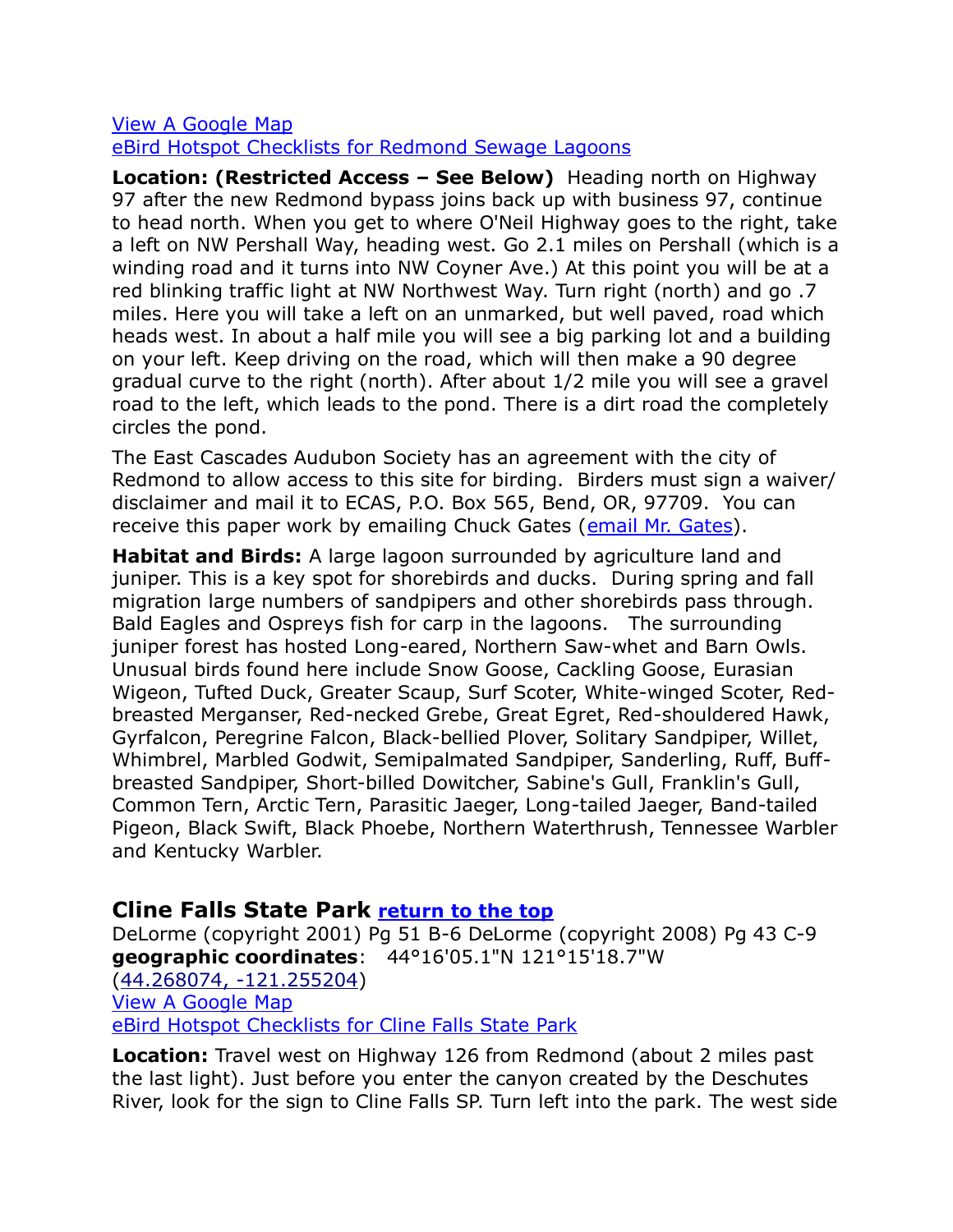#### [View A Google Map](http://maps.google.com/maps/ms?hl=en&ie=UTF8&msa=0&ll=44.326918,-121.189327&spn=0.053418,0.11055&z=13&msid=108036481085398338899.000462f421d7f9fcc69ab) [eBird Hotspot Checklists for Redmond Sewage Lagoons](http://ebird.org/ebird/hotspot/L1637039)

**Location: (Restricted Access – See Below)** Heading north on Highway 97 after the new Redmond bypass joins back up with business 97, continue to head north. When you get to where O'Neil Highway goes to the right, take a left on NW Pershall Way, heading west. Go 2.1 miles on Pershall (which is a winding road and it turns into NW Coyner Ave.) At this point you will be at a red blinking traffic light at NW Northwest Way. Turn right (north) and go .7 miles. Here you will take a left on an unmarked, but well paved, road which heads west. In about a half mile you will see a big parking lot and a building on your left. Keep driving on the road, which will then make a 90 degree gradual curve to the right (north). After about 1/2 mile you will see a gravel road to the left, which leads to the pond. There is a dirt road the completely circles the pond.

The East Cascades Audubon Society has an agreement with the city of Redmond to allow access to this site for birding. Birders must sign a waiver/ disclaimer and mail it to ECAS, P.O. Box 565, Bend, OR, 97709. You can receive this paper work by emailing Chuck Gates [\(email Mr. Gates\)](mailto:cgates326@gmail.com).

**Habitat and Birds:** A large lagoon surrounded by agriculture land and juniper. This is a key spot for shorebirds and ducks. During spring and fall migration large numbers of sandpipers and other shorebirds pass through. Bald Eagles and Ospreys fish for carp in the lagoons. The surrounding juniper forest has hosted Long-eared, Northern Saw-whet and Barn Owls. Unusual birds found here include Snow Goose, Cackling Goose, Eurasian Wigeon, Tufted Duck, Greater Scaup, Surf Scoter, White-winged Scoter, Redbreasted Merganser, Red-necked Grebe, Great Egret, Red-shouldered Hawk, Gyrfalcon, Peregrine Falcon, Black-bellied Plover, Solitary Sandpiper, Willet, Whimbrel, Marbled Godwit, Semipalmated Sandpiper, Sanderling, Ruff, Buffbreasted Sandpiper, Short-billed Dowitcher, Sabine's Gull, Franklin's Gull, Common Tern, Arctic Tern, Parasitic Jaeger, Long-tailed Jaeger, Band-tailed Pigeon, Black Swift, Black Phoebe, Northern Waterthrush, Tennessee Warbler and Kentucky Warbler.

# <span id="page-11-0"></span>**Cline Falls State Park [return to the top](#page-0-0)**

DeLorme (copyright 2001) Pg 51 B-6 DeLorme (copyright 2008) Pg 43 C-9 **geographic coordinates**: 44°16'05.1"N 121°15'18.7"W [\(44.268074, -121.255204\)](https://www.google.com/maps/place/44°16) [View A Google Map](http://maps.google.com/maps/ms?hl=en&ie=UTF8&msa=0&ll=44.264871,-121.273956&spn=0.213898,0.4422&z=11&msid=108036481085398338899.000462f439428083ba697) [eBird Hotspot Checklists for Cline Falls State Park](http://ebird.org/ebird/hotspot/L613426)

**Location:** Travel west on Highway 126 from Redmond (about 2 miles past the last light). Just before you enter the canyon created by the Deschutes River, look for the sign to Cline Falls SP. Turn left into the park. The west side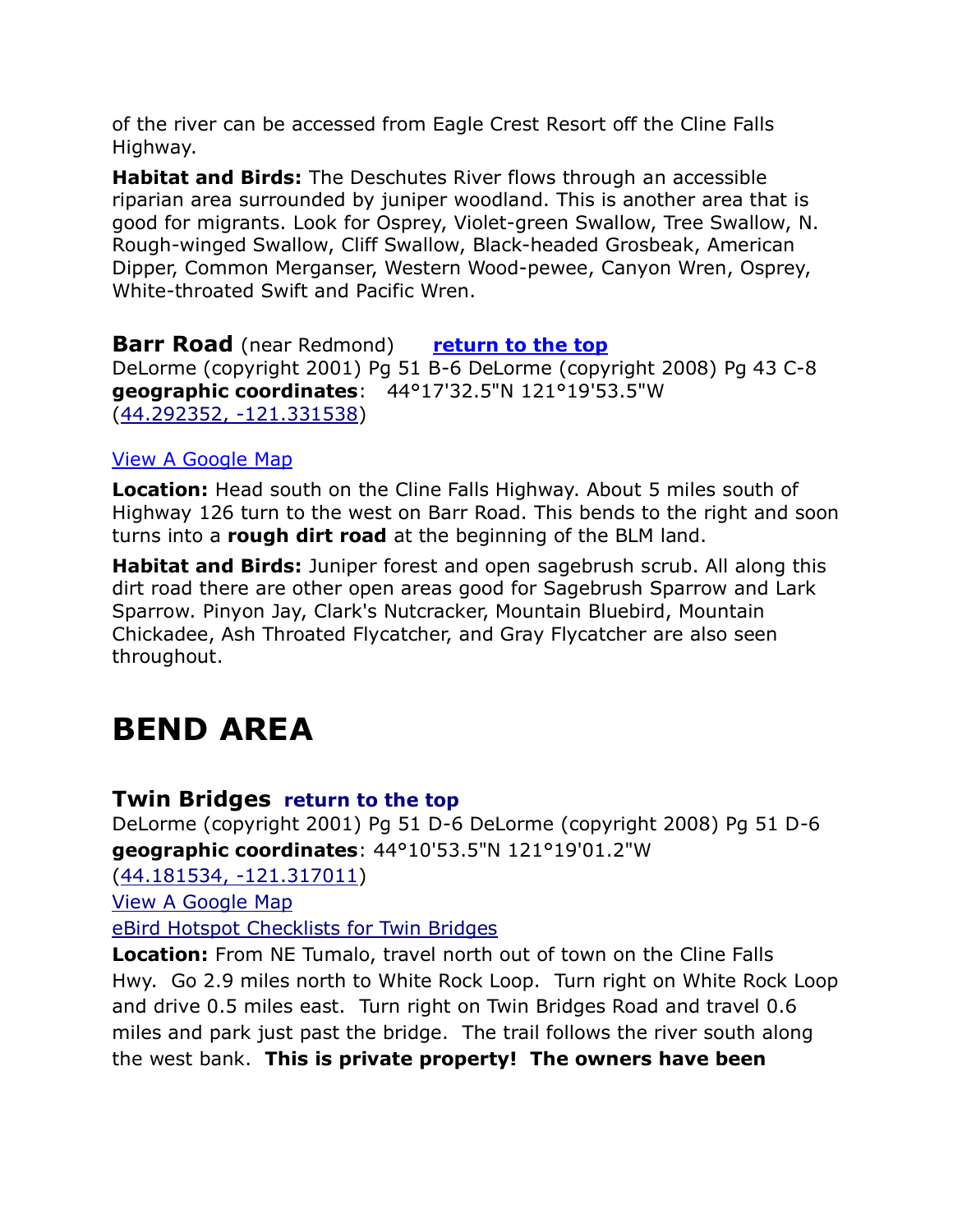of the river can be accessed from Eagle Crest Resort off the Cline Falls Highway.

**Habitat and Birds:** The Deschutes River flows through an accessible riparian area surrounded by juniper woodland. This is another area that is good for migrants. Look for Osprey, Violet-green Swallow, Tree Swallow, N. Rough-winged Swallow, Cliff Swallow, Black-headed Grosbeak, American Dipper, Common Merganser, Western Wood-pewee, Canyon Wren, Osprey, White-throated Swift and Pacific Wren.

<span id="page-12-0"></span>**Barr Road** (near Redmond) **[return to the top](#page-0-0)** DeLorme (copyright 2001) Pg 51 B-6 DeLorme (copyright 2008) Pg 43 C-8 **geographic coordinates**: 44°17'32.5"N 121°19'53.5"W [\(44.292352, -121.331538\)](https://www.google.com/maps/place/44°17)

#### [View A Google Map](http://maps.google.com/maps/ms?hl=en&ie=UTF8&msa=0&ll=44.264871,-121.273956&spn=0.213898,0.4422&z=11&msid=108036481085398338899.000462f439428083ba697)

**Location:** Head south on the Cline Falls Highway. About 5 miles south of Highway 126 turn to the west on Barr Road. This bends to the right and soon turns into a **rough dirt road** at the beginning of the BLM land.

**Habitat and Birds:** Juniper forest and open sagebrush scrub. All along this dirt road there are other open areas good for Sagebrush Sparrow and Lark Sparrow. Pinyon Jay, Clark's Nutcracker, Mountain Bluebird, Mountain Chickadee, Ash Throated Flycatcher, and Gray Flycatcher are also seen throughout.

# <span id="page-12-1"></span>**BEND AREA**

#### <span id="page-12-2"></span>**Twin Bridges [return to the top](#page-0-0)**

DeLorme (copyright 2001) Pg 51 D-6 DeLorme (copyright 2008) Pg 51 D-6 **geographic coordinates**: 44°10'53.5"N 121°19'01.2"W

[\(44.181534, -121.317011\)](https://www.google.com/maps/place/44°10)

[View A Google Map](http://maps.google.com/maps/ms?hl=en&ie=UTF8&msa=0&ll=44.142521,-121.422529&spn=0.014012,0.038624&z=15&msid=108036481085398338899.000462f8618386d9cb37f)

[eBird Hotspot Checklists for Twin Bridges](http://ebird.org/ebird/hotspot/L1659844)

**Location:** From NE Tumalo, travel north out of town on the Cline Falls Hwy. Go 2.9 miles north to White Rock Loop. Turn right on White Rock Loop and drive 0.5 miles east. Turn right on Twin Bridges Road and travel 0.6 miles and park just past the bridge. The trail follows the river south along the west bank. **This is private property! The owners have been**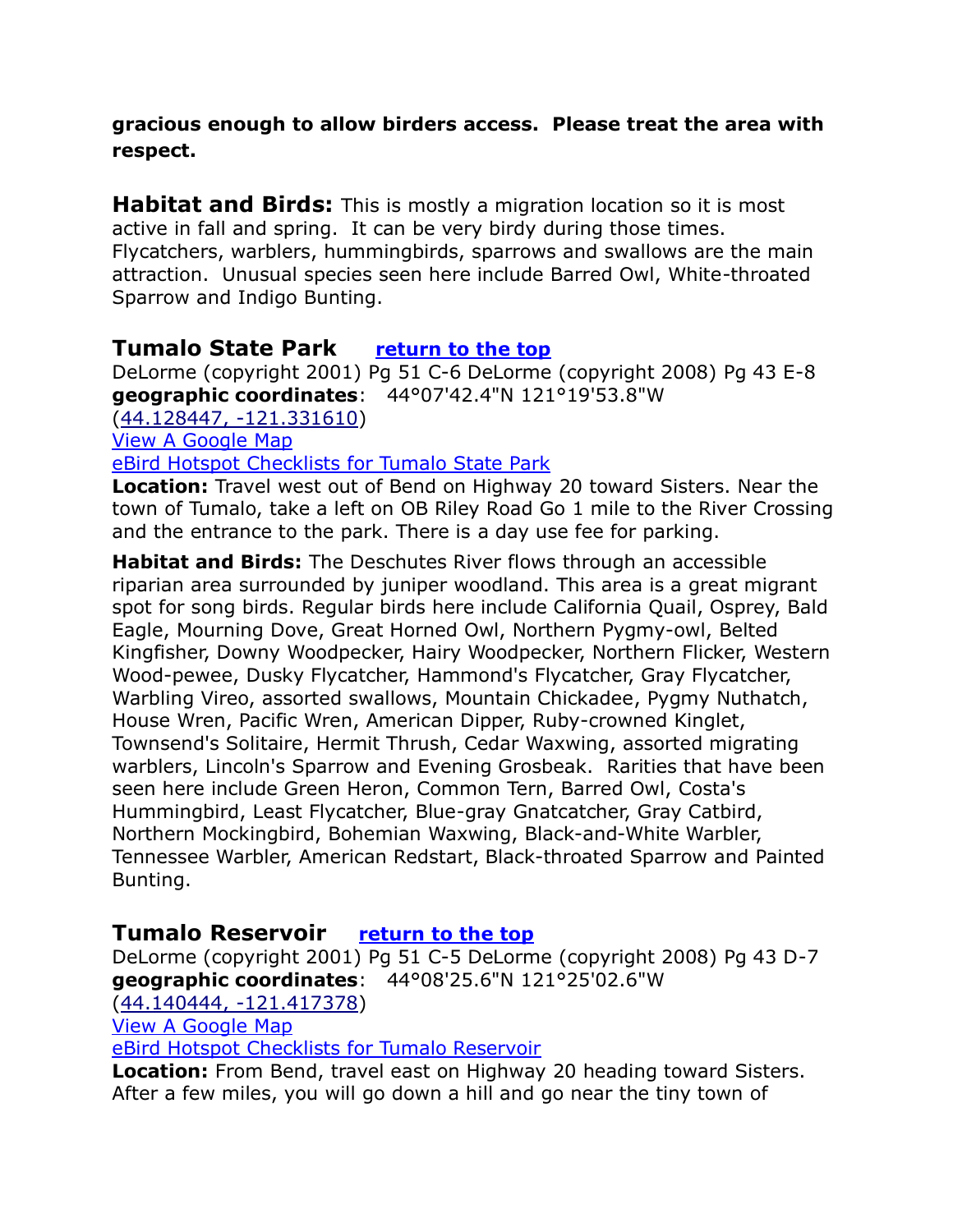**gracious enough to allow birders access. Please treat the area with respect.**

**Habitat and Birds:** This is mostly a migration location so it is most active in fall and spring. It can be very birdy during those times. Flycatchers, warblers, hummingbirds, sparrows and swallows are the main attraction. Unusual species seen here include Barred Owl, White-throated Sparrow and Indigo Bunting.

# <span id="page-13-0"></span>**Tumalo State Park [return to the top](#page-0-0)**

DeLorme (copyright 2001) Pg 51 C-6 DeLorme (copyright 2008) Pg 43 E-8 **geographic coordinates**: 44°07'42.4"N 121°19'53.8"W [\(44.128447, -121.331610\)](https://www.google.com/maps/place/44°07) View A Google Map

[eBird Hotspot Checklists for Tumalo State Park](http://ebird.org/ebird/hotspot/L613434)

**Location:** Travel west out of Bend on Highway 20 toward Sisters. Near the town of Tumalo, take a left on OB Riley Road Go 1 mile to the River Crossing and the entrance to the park. There is a day use fee for parking.

**Habitat and Birds:** The Deschutes River flows through an accessible riparian area surrounded by juniper woodland. This area is a great migrant spot for song birds. Regular birds here include California Quail, Osprey, Bald Eagle, Mourning Dove, Great Horned Owl, Northern Pygmy-owl, Belted Kingfisher, Downy Woodpecker, Hairy Woodpecker, Northern Flicker, Western Wood-pewee, Dusky Flycatcher, Hammond's Flycatcher, Gray Flycatcher, Warbling Vireo, assorted swallows, Mountain Chickadee, Pygmy Nuthatch, House Wren, Pacific Wren, American Dipper, Ruby-crowned Kinglet, Townsend's Solitaire, Hermit Thrush, Cedar Waxwing, assorted migrating warblers, Lincoln's Sparrow and Evening Grosbeak. Rarities that have been seen here include Green Heron, Common Tern, Barred Owl, Costa's Hummingbird, Least Flycatcher, Blue-gray Gnatcatcher, Gray Catbird, Northern Mockingbird, Bohemian Waxwing, Black-and-White Warbler, Tennessee Warbler, American Redstart, Black-throated Sparrow and Painted Bunting.

# <span id="page-13-1"></span>**Tumalo Reservoir [return to the top](#page-0-0)**

DeLorme (copyright 2001) Pg 51 C-5 DeLorme (copyright 2008) Pg 43 D-7 **geographic coordinates**: 44°08'25.6"N 121°25'02.6"W

[\(44.140444, -121.417378\)](https://www.google.com/maps/place/44°08)

[View A Google Map](http://maps.google.com/maps/ms?hl=en&ie=UTF8&msa=0&ll=44.142521,-121.422529&spn=0.014012,0.038624&z=15&msid=108036481085398338899.000462f8618386d9cb37f)

[eBird Hotspot Checklists for Tumalo Reservoir](http://ebird.org/ebird/hotspot/L1659794)

**Location:** From Bend, travel east on Highway 20 heading toward Sisters. After a few miles, you will go down a hill and go near the tiny town of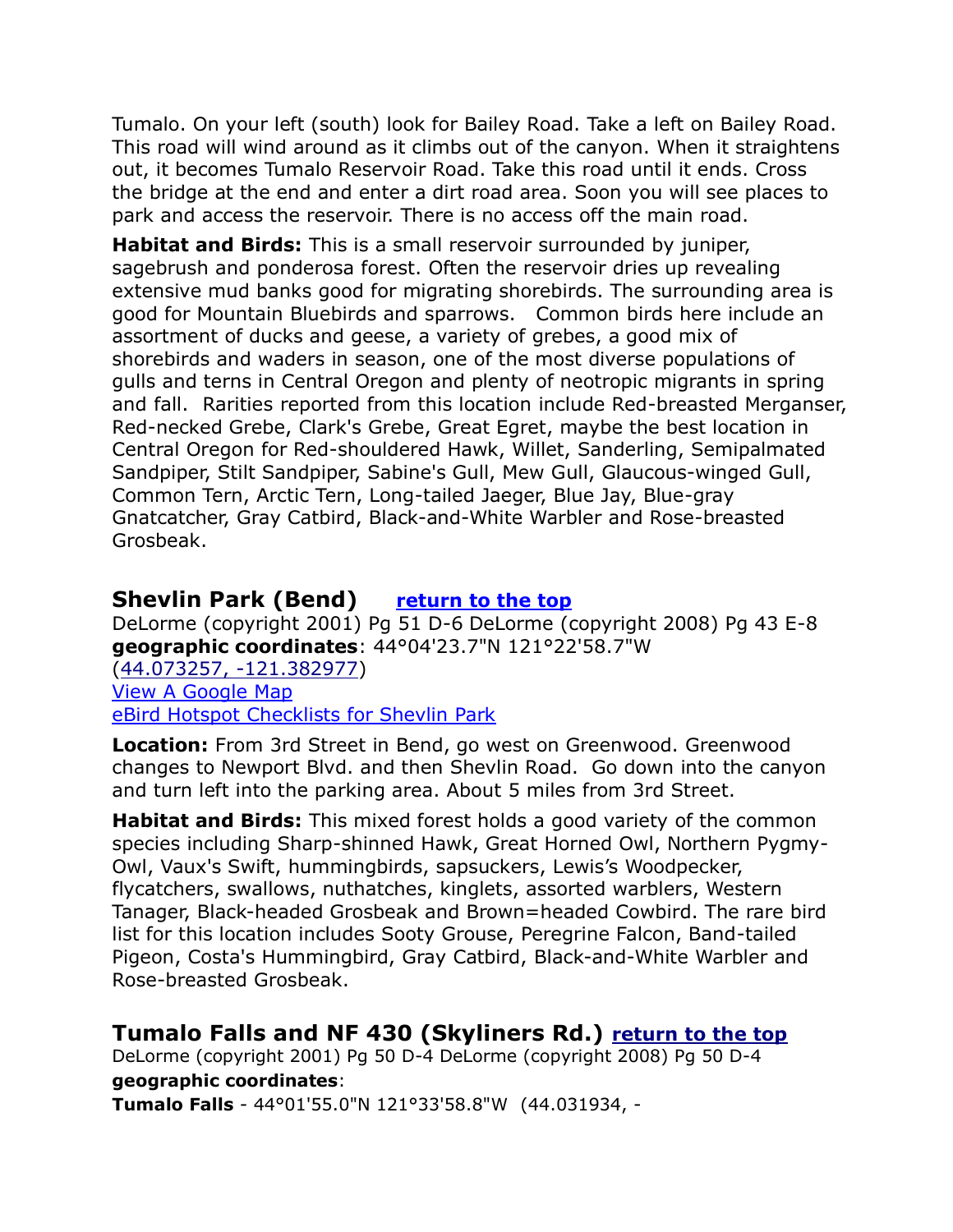Tumalo. On your left (south) look for Bailey Road. Take a left on Bailey Road. This road will wind around as it climbs out of the canyon. When it straightens out, it becomes Tumalo Reservoir Road. Take this road until it ends. Cross the bridge at the end and enter a dirt road area. Soon you will see places to park and access the reservoir. There is no access off the main road.

**Habitat and Birds:** This is a small reservoir surrounded by juniper, sagebrush and ponderosa forest. Often the reservoir dries up revealing extensive mud banks good for migrating shorebirds. The surrounding area is good for Mountain Bluebirds and sparrows. Common birds here include an assortment of ducks and geese, a variety of grebes, a good mix of shorebirds and waders in season, one of the most diverse populations of gulls and terns in Central Oregon and plenty of neotropic migrants in spring and fall. Rarities reported from this location include Red-breasted Merganser, Red-necked Grebe, Clark's Grebe, Great Egret, maybe the best location in Central Oregon for Red-shouldered Hawk, Willet, Sanderling, Semipalmated Sandpiper, Stilt Sandpiper, Sabine's Gull, Mew Gull, Glaucous-winged Gull, Common Tern, Arctic Tern, Long-tailed Jaeger, Blue Jay, Blue-gray Gnatcatcher, Gray Catbird, Black-and-White Warbler and Rose-breasted Grosbeak.

# <span id="page-14-0"></span>**Shevlin Park (Bend) [return to the top](#page-0-0)**

DeLorme (copyright 2001) Pg 51 D-6 DeLorme (copyright 2008) Pg 43 E-8 **geographic coordinates**: 44°04'23.7"N 121°22'58.7"W [\(44.073257, -121.382977\)](https://www.google.com/maps/place/44°04) [View A Google Map](http://maps.google.com/maps/ms?hl=en&ie=UTF8&msa=0&msid=108036481085398338899.000462f87ec3b84f19c8b&ll=44.072047,-121.321163&spn=0.056116,0.154495&z=13) [eBird Hotspot Checklists for Shevlin Park](http://ebird.org/ebird/hotspot/L705105)

**Location:** From 3rd Street in Bend, go west on Greenwood. Greenwood changes to Newport Blvd. and then Shevlin Road. Go down into the canyon and turn left into the parking area. About 5 miles from 3rd Street.

**Habitat and Birds:** This mixed forest holds a good variety of the common species including Sharp-shinned Hawk, Great Horned Owl, Northern Pygmy-Owl, Vaux's Swift, hummingbirds, sapsuckers, Lewis's Woodpecker, flycatchers, swallows, nuthatches, kinglets, assorted warblers, Western Tanager, Black-headed Grosbeak and Brown=headed Cowbird. The rare bird list for this location includes Sooty Grouse, Peregrine Falcon, Band-tailed Pigeon, Costa's Hummingbird, Gray Catbird, Black-and-White Warbler and Rose-breasted Grosbeak.

# <span id="page-14-1"></span>**Tumalo Falls and NF 430 (Skyliners Rd.) [return to the top](#page-0-0)**

DeLorme (copyright 2001) Pg 50 D-4 DeLorme (copyright 2008) Pg 50 D-4 **geographic coordinates**:

**Tumalo Falls** - 44°01'55.0"N 121°33'58.8"W [\(44.031934, -](https://www.google.com/maps/place/44°01)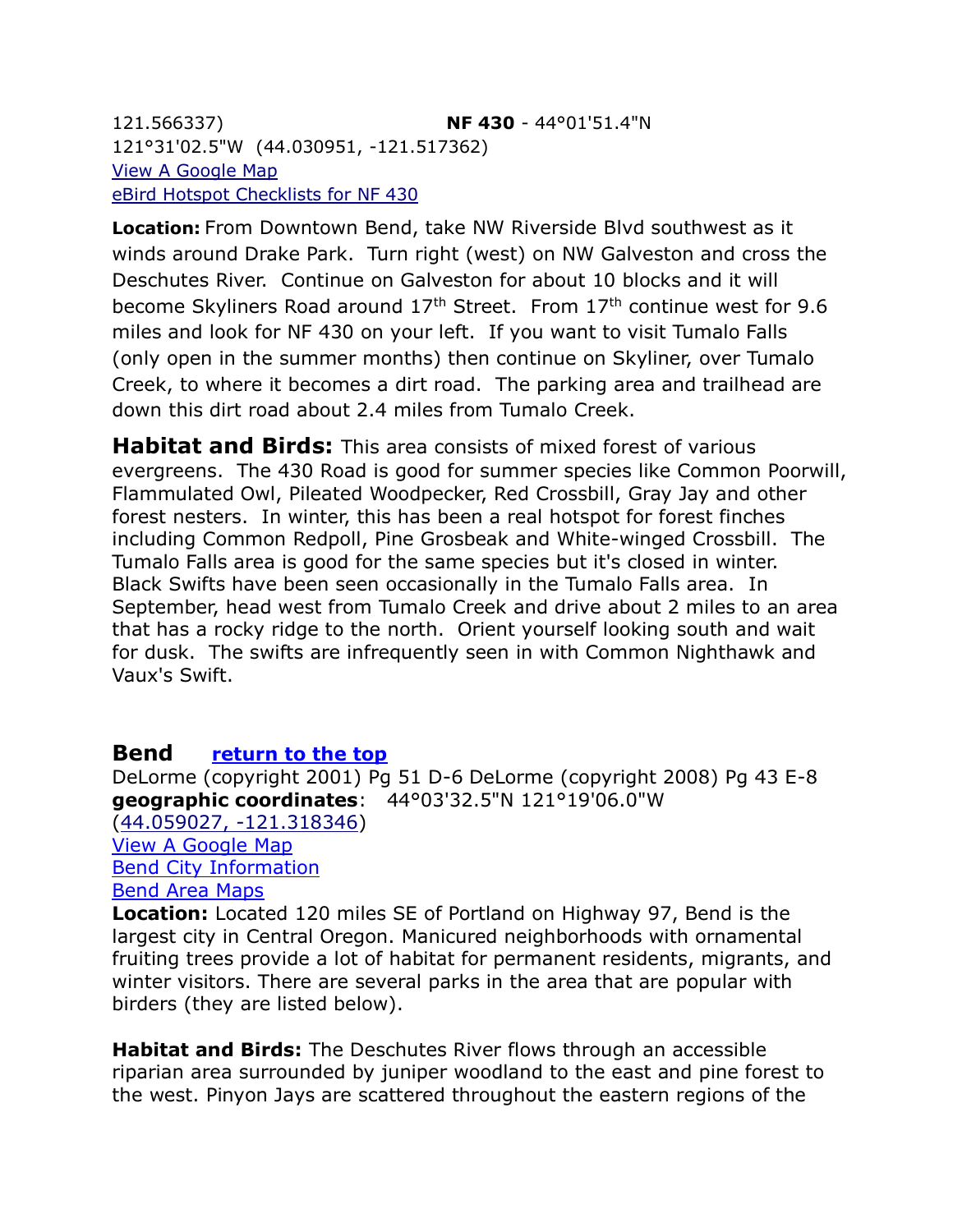[121.566337\)](https://www.google.com/maps/place/44°01) **NF 430** - 44°01'51.4"N 121°31'02.5"W [\(44.030951, -121.517362\)](https://www.google.com/maps/place/44°01) [View A Google Map](http://maps.google.com/maps/ms?hl=en&ie=UTF8&msa=0&msid=108036481085398338899.000462f87ec3b84f19c8b&ll=44.072047,-121.321163&spn=0.056116,0.154495&z=13) [eBird Hotspot Checklists for NF 430](http://ebird.org/ebird/hotspot/L1398229)

**Location:** From Downtown Bend, take NW Riverside Blvd southwest as it winds around Drake Park. Turn right (west) on NW Galveston and cross the Deschutes River. Continue on Galveston for about 10 blocks and it will become Skyliners Road around 17th Street. From 17th continue west for 9.6 miles and look for NF 430 on your left. If you want to visit Tumalo Falls (only open in the summer months) then continue on Skyliner, over Tumalo Creek, to where it becomes a dirt road. The parking area and trailhead are down this dirt road about 2.4 miles from Tumalo Creek.

**Habitat and Birds:** This area consists of mixed forest of various evergreens. The 430 Road is good for summer species like Common Poorwill, Flammulated Owl, Pileated Woodpecker, Red Crossbill, Gray Jay and other forest nesters. In winter, this has been a real hotspot for forest finches including Common Redpoll, Pine Grosbeak and White-winged Crossbill. The Tumalo Falls area is good for the same species but it's closed in winter. Black Swifts have been seen occasionally in the Tumalo Falls area. In September, head west from Tumalo Creek and drive about 2 miles to an area that has a rocky ridge to the north. Orient yourself looking south and wait for dusk. The swifts are infrequently seen in with Common Nighthawk and Vaux's Swift.

# <span id="page-15-0"></span>**Bend [return to the top](#page-0-0)**

DeLorme (copyright 2001) Pg 51 D-6 DeLorme (copyright 2008) Pg 43 E-8 **geographic coordinates**: 44°03'32.5"N 121°19'06.0"W [\(44.059027, -121.318346\)](https://www.google.com/maps/place/44°03) [View A Google Map](http://maps.google.com/maps/ms?hl=en&ie=UTF8&msa=0&msid=108036481085398338899.000462f81fae5f872564f&ll=44.117416,-121.309662&spn=0.056073,0.154495&z=13) [Bend City Information](http://www.visitbend.com/default.aspx) [Bend Area Maps](http://www.visitbend.com/Bend_Oregon_Map/Maps/default.aspx)

**Location:** Located 120 miles SE of Portland on Highway 97, Bend is the largest city in Central Oregon. Manicured neighborhoods with ornamental fruiting trees provide a lot of habitat for permanent residents, migrants, and winter visitors. There are several parks in the area that are popular with birders (they are listed below).

**Habitat and Birds:** The Deschutes River flows through an accessible riparian area surrounded by juniper woodland to the east and pine forest to the west. Pinyon Jays are scattered throughout the eastern regions of the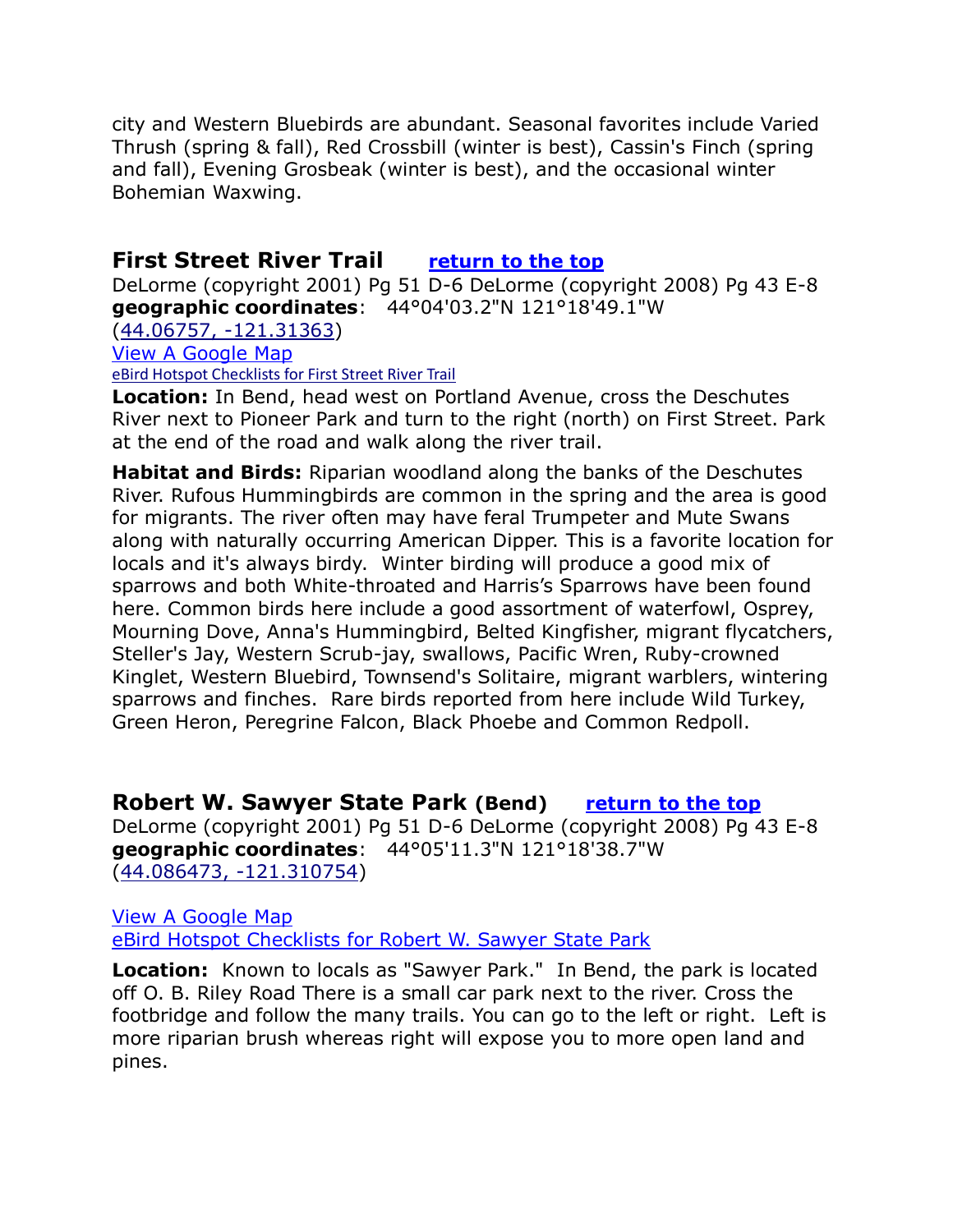city and Western Bluebirds are abundant. Seasonal favorites include Varied Thrush (spring & fall), Red Crossbill (winter is best), Cassin's Finch (spring and fall), Evening Grosbeak (winter is best), and the occasional winter Bohemian Waxwing.

# <span id="page-16-0"></span>**First Street River Trail [return to the](#page-0-0) top**

DeLorme (copyright 2001) Pg 51 D-6 DeLorme (copyright 2008) Pg 43 E-8 **geographic coordinates**: 44°04'03.2"N 121°18'49.1"W

[\(44.06757, -121.31363\)](https://www.google.com/maps/place/44°04)

[View A Google Map](http://maps.google.com/maps/ms?hl=en&ie=UTF8&msa=0&ll=44.068663,-121.313953&spn=0.01403,0.038624&z=15&msid=108036481085398338899.000462f8b064998fc6c9c)

[eBird Hotspot Checklists for First Street River Trail](http://ebird.org/ebird/hotspot/L1104392)

**Location:** In Bend, head west on Portland Avenue, cross the Deschutes River next to Pioneer Park and turn to the right (north) on First Street. Park at the end of the road and walk along the river trail.

**Habitat and Birds:** Riparian woodland along the banks of the Deschutes River. Rufous Hummingbirds are common in the spring and the area is good for migrants. The river often may have feral Trumpeter and Mute Swans along with naturally occurring American Dipper. This is a favorite location for locals and it's always birdy. Winter birding will produce a good mix of sparrows and both White-throated and Harris's Sparrows have been found here. Common birds here include a good assortment of waterfowl, Osprey, Mourning Dove, Anna's Hummingbird, Belted Kingfisher, migrant flycatchers, Steller's Jay, Western Scrub-jay, swallows, Pacific Wren, Ruby-crowned Kinglet, Western Bluebird, Townsend's Solitaire, migrant warblers, wintering sparrows and finches. Rare birds reported from here include Wild Turkey, Green Heron, Peregrine Falcon, Black Phoebe and Common Redpoll.

#### <span id="page-16-1"></span>**Robert W. Sawyer State Park (Bend) [return to the top](#page-0-0)**

DeLorme (copyright 2001) Pg 51 D-6 DeLorme (copyright 2008) Pg 43 E-8 **geographic coordinates**: 44°05'11.3"N 121°18'38.7"W [\(44.086473, -121.310754\)](https://www.google.com/maps/place/44°05)

[View A Google Map](http://maps.google.com/maps/ms?hl=en&ie=UTF8&msa=0&ll=44.083038,-121.310413&spn=0.007013,0.019312&z=16&msid=108036481085398338899.000462f8d3eec2cafbaf4)  [eBird Hotspot Checklists for Robert W. Sawyer State Park](http://ebird.org/ebird/hotspot/L677170)

**Location:** Known to locals as "Sawyer Park." In Bend, the park is located off O. B. Riley Road There is a small car park next to the river. Cross the footbridge and follow the many trails. You can go to the left or right. Left is more riparian brush whereas right will expose you to more open land and pines.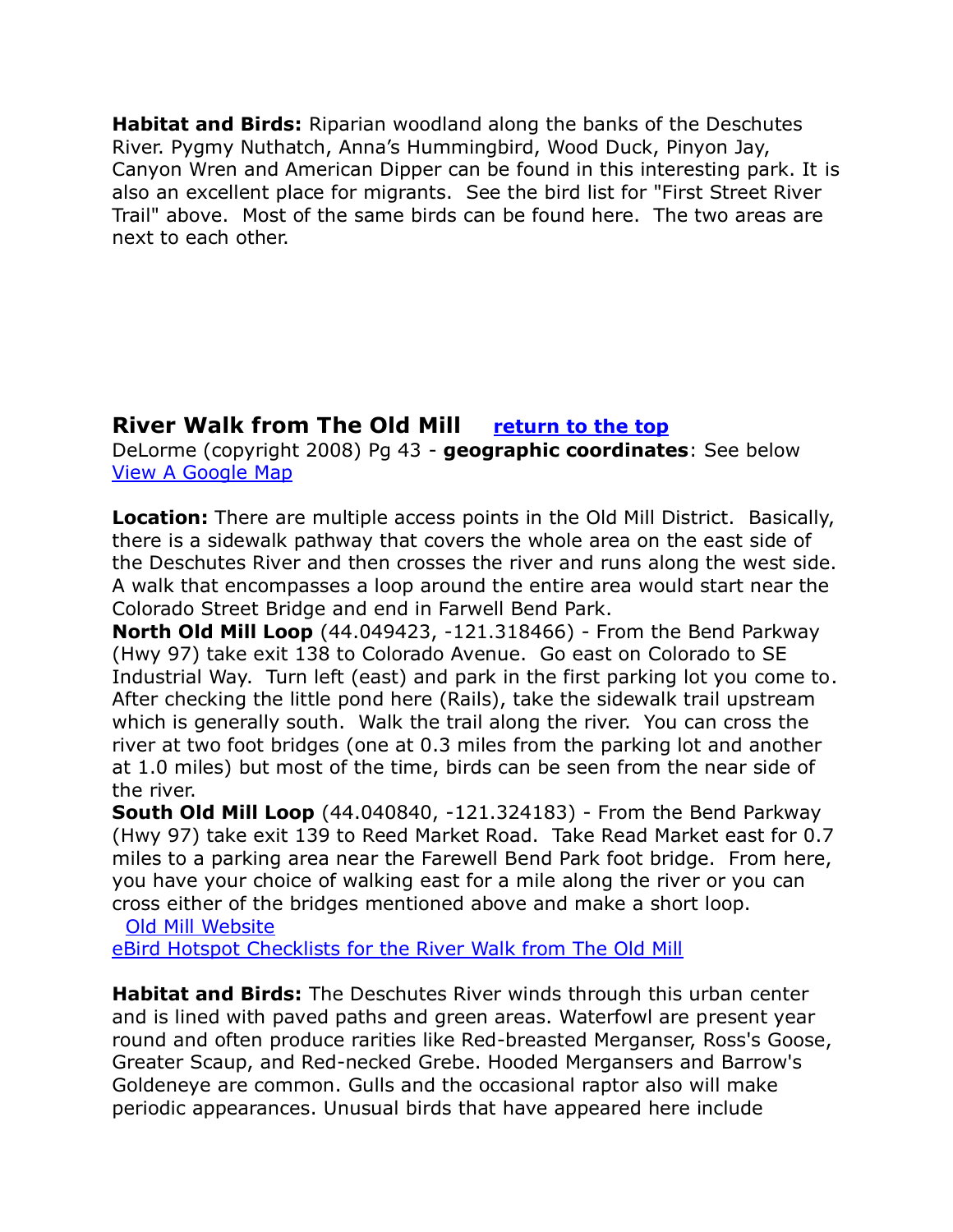**Habitat and Birds:** Riparian woodland along the banks of the Deschutes River. Pygmy Nuthatch, Anna's Hummingbird, Wood Duck, Pinyon Jay, Canyon Wren and American Dipper can be found in this interesting park. It is also an excellent place for migrants. See the bird list for "First Street River Trail" above. Most of the same birds can be found here. The two areas are next to each other.

# <span id="page-17-0"></span>**River Walk from The Old Mill [return to the](#page-0-0) top**

DeLorme (copyright 2008) Pg 43 - **geographic coordinates**: See below [View A Google Map](http://maps.google.com/maps/ms?hl=en&ie=UTF8&msa=0&ll=44.083038,-121.310413&spn=0.007013,0.019312&z=16&msid=108036481085398338899.000462f8d3eec2cafbaf4) 

**Location:** There are multiple access points in the Old Mill District. Basically, there is a sidewalk pathway that covers the whole area on the east side of the Deschutes River and then crosses the river and runs along the west side. A walk that encompasses a loop around the entire area would start near the Colorado Street Bridge and end in Farwell Bend Park.

**North Old Mill Loop** (44.049423, -121.318466) - From the Bend Parkway (Hwy 97) take exit 138 to Colorado Avenue. Go east on Colorado to SE Industrial Way. Turn left (east) and park in the first parking lot you come to. After checking the little pond here (Rails), take the sidewalk trail upstream which is generally south. Walk the trail along the river. You can cross the river at two foot bridges (one at 0.3 miles from the parking lot and another at 1.0 miles) but most of the time, birds can be seen from the near side of the river.

**South Old Mill Loop** (44.040840, -121.324183) - From the Bend Parkway (Hwy 97) take exit 139 to Reed Market Road. Take Read Market east for 0.7 miles to a parking area near the Farewell Bend Park foot bridge. From here, you have your choice of walking east for a mile along the river or you can cross either of the bridges mentioned above and make a short loop.

[Old Mill Website](http://www.theoldmill.com/directions-hours) 

[eBird Hotspot Checklists for the River Walk from The Old Mill](http://ebird.org/ebird/hotspot/L2235282)

**Habitat and Birds:** The Deschutes River winds through this urban center and is lined with paved paths and green areas. Waterfowl are present year round and often produce rarities like Red-breasted Merganser, Ross's Goose, Greater Scaup, and Red-necked Grebe. Hooded Mergansers and Barrow's Goldeneye are common. Gulls and the occasional raptor also will make periodic appearances. Unusual birds that have appeared here include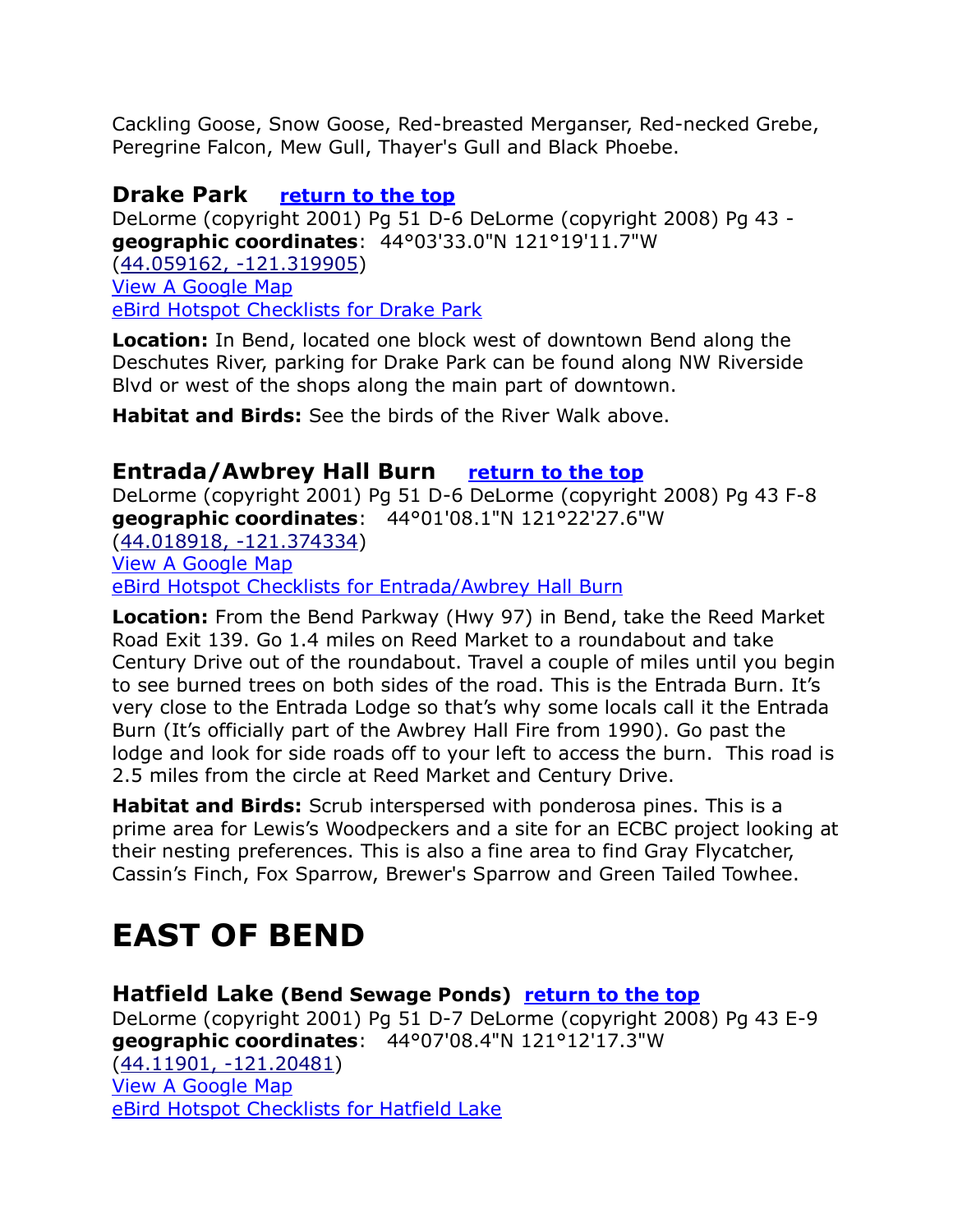Cackling Goose, Snow Goose, Red-breasted Merganser, Red-necked Grebe, Peregrine Falcon, Mew Gull, Thayer's Gull and Black Phoebe.

# <span id="page-18-0"></span>**Drake Park [return to the top](#page-0-0)**

DeLorme (copyright 2001) Pg 51 D-6 DeLorme (copyright 2008) Pg 43 **geographic coordinates**: 44°03'33.0"N 121°19'11.7"W [\(44.059162, -121.319905\)](https://www.google.com/maps/place/44°03) [View A Google Map](http://maps.google.com/maps/ms?hl=en&ie=UTF8&msa=0&ll=44.05743,-121.319232&spn=0.014033,0.038624&z=15&msid=108036481085398338899.000462f8f9190e1e173ed)  [eBird Hotspot Checklists for Drake Park](http://ebird.org/ebird/hotspot/L1551438)

**Location:** In Bend, located one block west of downtown Bend along the Deschutes River, parking for Drake Park can be found along NW Riverside Blvd or west of the shops along the main part of downtown.

**Habitat and Birds:** See the birds of the River Walk above.

### <span id="page-18-1"></span>**Entrada/Awbrey Hall Burn [return to the top](#page-0-0)**

DeLorme (copyright 2001) Pg 51 D-6 DeLorme (copyright 2008) Pg 43 F-8 **geographic coordinates**: 44°01'08.1"N 121°22'27.6"W [\(44.018918, -121.374334\)](https://www.google.com/maps/place/44°01) [View A Google Map](http://maps.google.com/maps/ms?hl=en&ie=UTF8&msa=0&msid=108036481085398338899.000462f920ac03b4e1b1b&ll=44.014793,-121.370773&spn=0.112341,0.30899&z=12) [eBird Hotspot Checklists for Entrada/Awbrey Hall Burn](http://ebird.org/ebird/hotspot/L2251090)

**Location:** From the Bend Parkway (Hwy 97) in Bend, take the Reed Market Road Exit 139. Go 1.4 miles on Reed Market to a roundabout and take Century Drive out of the roundabout. Travel a couple of miles until you begin to see burned trees on both sides of the road. This is the Entrada Burn. It's very close to the Entrada Lodge so that's why some locals call it the Entrada Burn (It's officially part of the Awbrey Hall Fire from 1990). Go past the lodge and look for side roads off to your left to access the burn. This road is 2.5 miles from the circle at Reed Market and Century Drive.

**Habitat and Birds:** Scrub interspersed with ponderosa pines. This is a prime area for Lewis's Woodpeckers and a site for an ECBC project looking at their nesting preferences. This is also a fine area to find Gray Flycatcher, Cassin's Finch, Fox Sparrow, Brewer's Sparrow and Green Tailed Towhee.

# <span id="page-18-2"></span>**EAST OF BEND**

<span id="page-18-3"></span>**Hatfield Lake (Bend Sewage Ponds) [return to the top](#page-0-0)**

DeLorme (copyright 2001) Pg 51 D-7 DeLorme (copyright 2008) Pg 43 E-9 **geographic coordinates**: 44°07'08.4"N 121°12'17.3"W [\(44.11901, -121.20481\)](https://www.google.com/maps/place/44°07) [View A Google Map](http://maps.google.com/maps/ms?hl=en&ie=UTF8&msa=0&ll=43.909766,-120.737&spn=0.900306,2.471924&z=9&msid=108036481085398338899.000462fa2f6e03b16225e) [eBird Hotspot Checklists for Hatfield Lake](http://ebird.org/ebird/hotspot/L447435)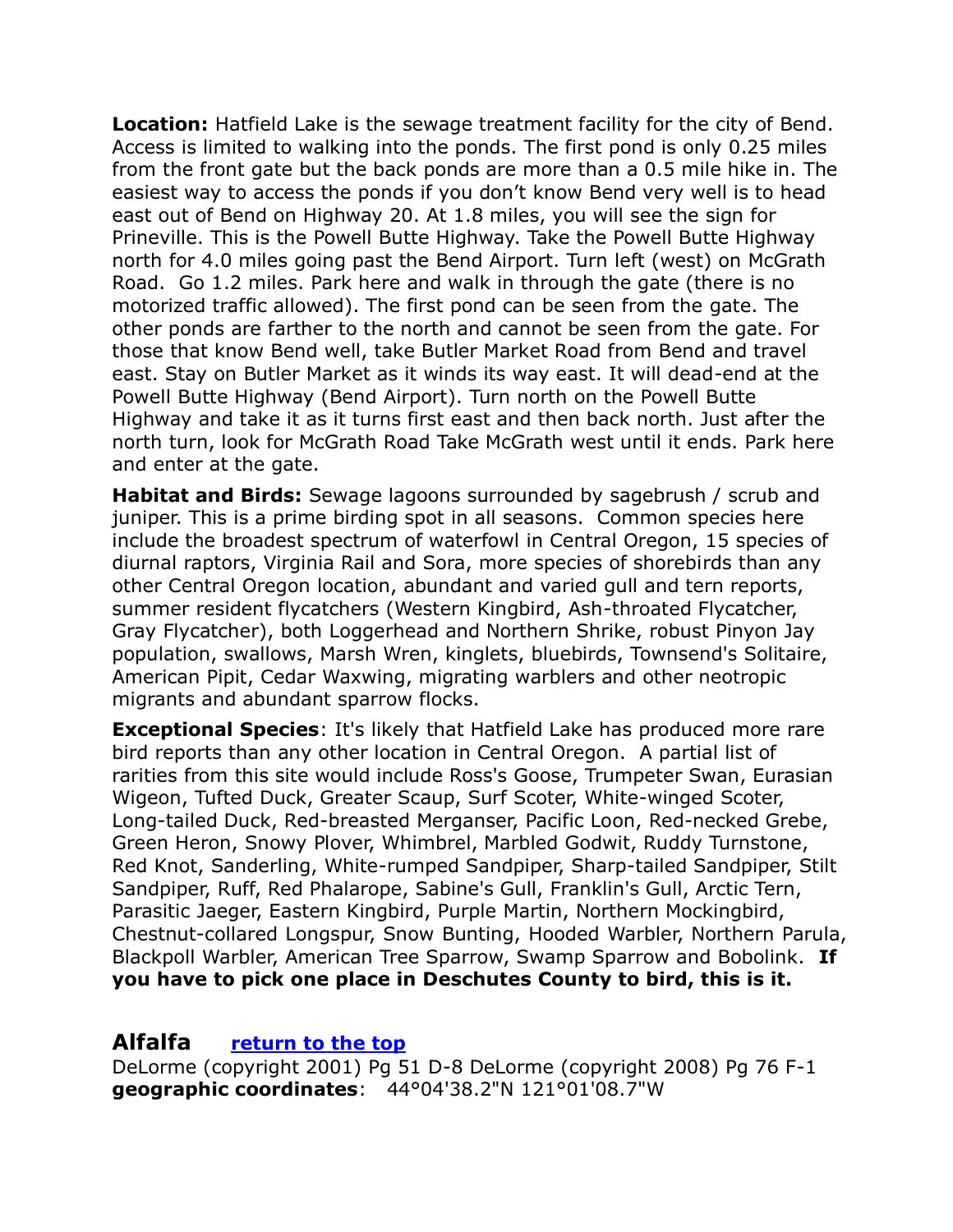**Location:** Hatfield Lake is the sewage treatment facility for the city of Bend. Access is limited to walking into the ponds. The first pond is only 0.25 miles from the front gate but the back ponds are more than a 0.5 mile hike in. The easiest way to access the ponds if you don't know Bend very well is to head east out of Bend on Highway 20. At 1.8 miles, you will see the sign for Prineville. This is the Powell Butte Highway. Take the Powell Butte Highway north for 4.0 miles going past the Bend Airport. Turn left (west) on McGrath Road. Go 1.2 miles. Park here and walk in through the gate (there is no motorized traffic allowed). The first pond can be seen from the gate. The other ponds are farther to the north and cannot be seen from the gate. For those that know Bend well, take Butler Market Road from Bend and travel east. Stay on Butler Market as it winds its way east. It will dead-end at the Powell Butte Highway (Bend Airport). Turn north on the Powell Butte Highway and take it as it turns first east and then back north. Just after the north turn, look for McGrath Road Take McGrath west until it ends. Park here and enter at the gate.

**Habitat and Birds:** Sewage lagoons surrounded by sagebrush / scrub and juniper. This is a prime birding spot in all seasons. Common species here include the broadest spectrum of waterfowl in Central Oregon, 15 species of diurnal raptors, Virginia Rail and Sora, more species of shorebirds than any other Central Oregon location, abundant and varied gull and tern reports, summer resident flycatchers (Western Kingbird, Ash-throated Flycatcher, Gray Flycatcher), both Loggerhead and Northern Shrike, robust Pinyon Jay population, swallows, Marsh Wren, kinglets, bluebirds, Townsend's Solitaire, American Pipit, Cedar Waxwing, migrating warblers and other neotropic migrants and abundant sparrow flocks.

**Exceptional Species**: It's likely that Hatfield Lake has produced more rare bird reports than any other location in Central Oregon. A partial list of rarities from this site would include Ross's Goose, Trumpeter Swan, Eurasian Wigeon, Tufted Duck, Greater Scaup, Surf Scoter, White-winged Scoter, Long-tailed Duck, Red-breasted Merganser, Pacific Loon, Red-necked Grebe, Green Heron, Snowy Plover, Whimbrel, Marbled Godwit, Ruddy Turnstone, Red Knot, Sanderling, White-rumped Sandpiper, Sharp-tailed Sandpiper, Stilt Sandpiper, Ruff, Red Phalarope, Sabine's Gull, Franklin's Gull, Arctic Tern, Parasitic Jaeger, Eastern Kingbird, Purple Martin, Northern Mockingbird, Chestnut-collared Longspur, Snow Bunting, Hooded Warbler, Northern Parula, Blackpoll Warbler, American Tree Sparrow, Swamp Sparrow and Bobolink. **If you have to pick one place in Deschutes County to bird, this is it.**

#### <span id="page-19-0"></span>**Alfalfa [return to the top](#page-0-0)**

DeLorme (copyright 2001) Pg 51 D-8 DeLorme (copyright 2008) Pg 76 F-1 **geographic coordinates**: 44°04'38.2"N 121°01'08.7"W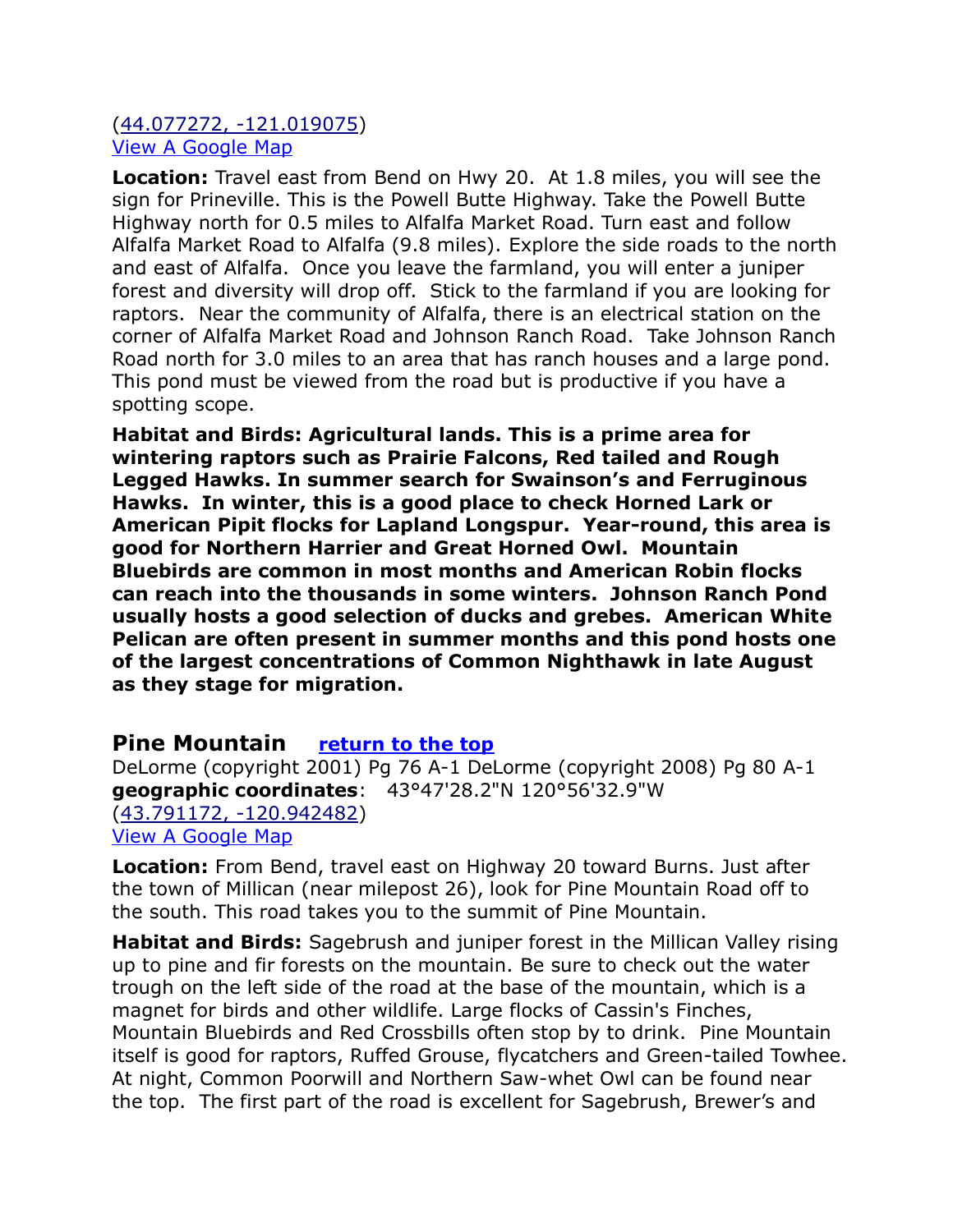#### [\(44.077272, -121.019075\)](https://www.google.com/maps/place/44°04) [View A Google Map](http://maps.google.com/maps/ms?hl=en&ie=UTF8&msa=0&ll=43.909766,-120.737&spn=0.900306,2.471924&z=9&msid=108036481085398338899.000462fa2f6e03b16225e)

**Location:** Travel east from Bend on Hwy 20. At 1.8 miles, you will see the sign for Prineville. This is the Powell Butte Highway. Take the Powell Butte Highway north for 0.5 miles to Alfalfa Market Road. Turn east and follow Alfalfa Market Road to Alfalfa (9.8 miles). Explore the side roads to the north and east of Alfalfa. Once you leave the farmland, you will enter a juniper forest and diversity will drop off. Stick to the farmland if you are looking for raptors. Near the community of Alfalfa, there is an electrical station on the corner of Alfalfa Market Road and Johnson Ranch Road. Take Johnson Ranch Road north for 3.0 miles to an area that has ranch houses and a large pond. This pond must be viewed from the road but is productive if you have a spotting scope.

**Habitat and Birds: Agricultural lands. This is a prime area for wintering raptors such as Prairie Falcons, Red tailed and Rough Legged Hawks. In summer search for Swainson's and Ferruginous Hawks. In winter, this is a good place to check Horned Lark or American Pipit flocks for Lapland Longspur. Year-round, this area is good for Northern Harrier and Great Horned Owl. Mountain Bluebirds are common in most months and American Robin flocks can reach into the thousands in some winters. Johnson Ranch Pond usually hosts a good selection of ducks and grebes. American White Pelican are often present in summer months and this pond hosts one of the largest concentrations of Common Nighthawk in late August as they stage for migration.**

#### <span id="page-20-0"></span>**Pine Mountain [return to the top](#page-0-0)**

DeLorme (copyright 2001) Pg 76 A-1 DeLorme (copyright 2008) Pg 80 A-1 **geographic coordinates**: 43°47'28.2"N 120°56'32.9"W [\(43.791172, -120.942482\)](https://www.google.com/maps/place/43°47) [View A Google Map](http://maps.google.com/maps/ms?hl=en&ie=UTF8&msa=0&ll=43.909766,-120.737&spn=0.900306,2.471924&z=9&msid=108036481085398338899.000462fa2f6e03b16225e)

**Location:** From Bend, travel east on Highway 20 toward Burns. Just after the town of Millican (near milepost 26), look for Pine Mountain Road off to the south. This road takes you to the summit of Pine Mountain.

**Habitat and Birds:** Sagebrush and juniper forest in the Millican Valley rising up to pine and fir forests on the mountain. Be sure to check out the water trough on the left side of the road at the base of the mountain, which is a magnet for birds and other wildlife. Large flocks of Cassin's Finches, Mountain Bluebirds and Red Crossbills often stop by to drink. Pine Mountain itself is good for raptors, Ruffed Grouse, flycatchers and Green-tailed Towhee. At night, Common Poorwill and Northern Saw-whet Owl can be found near the top. The first part of the road is excellent for Sagebrush, Brewer's and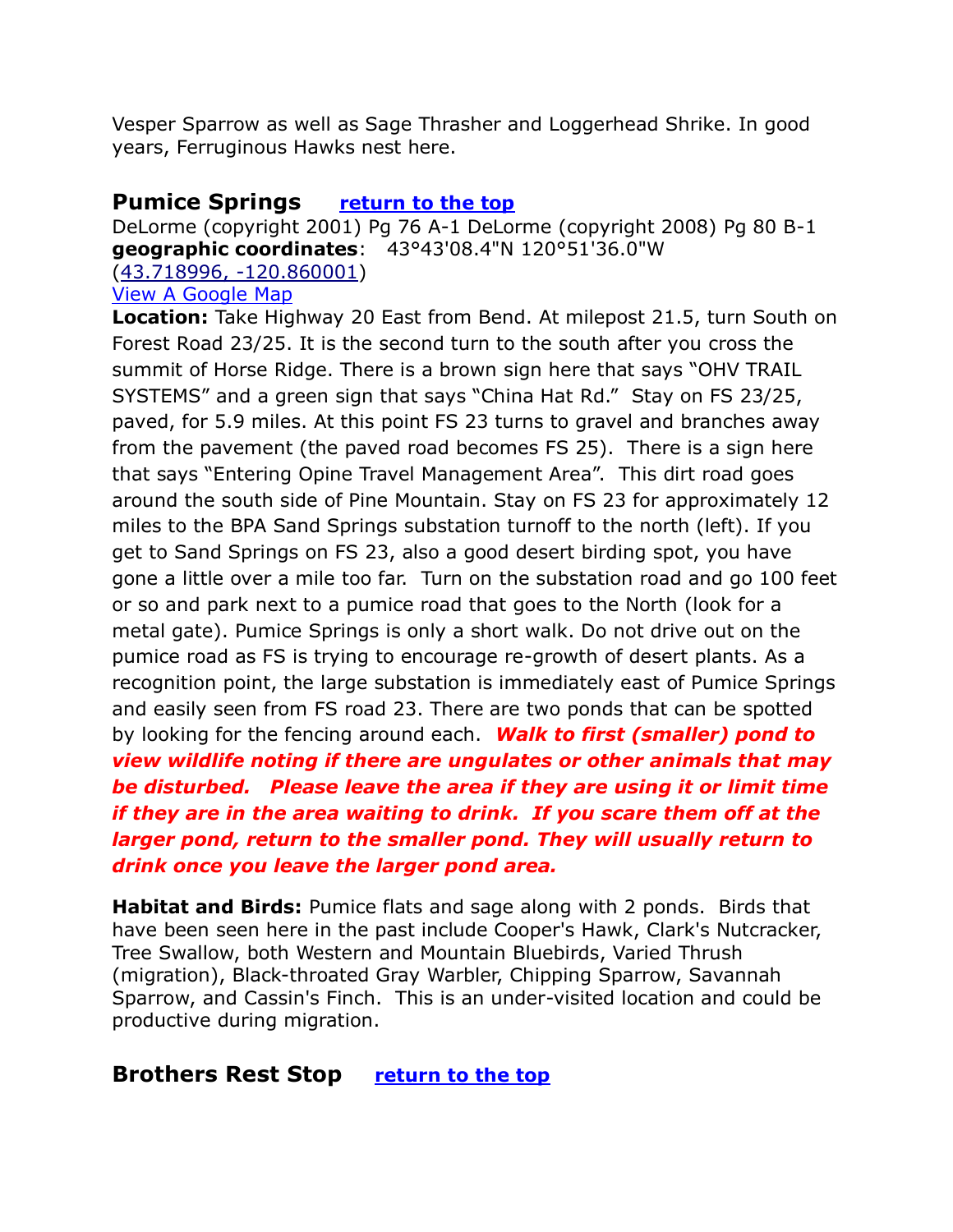Vesper Sparrow as well as Sage Thrasher and Loggerhead Shrike. In good years, Ferruginous Hawks nest here.

### <span id="page-21-0"></span>**Pumice Springs [return to the top](#page-0-0)**

DeLorme (copyright 2001) Pg 76 A-1 DeLorme (copyright 2008) Pg 80 B-1 **geographic coordinates**: 43°43'08.4"N 120°51'36.0"W [\(43.718996, -120.860001\)](https://www.google.com/maps/place/43°43) [View A Google Map](http://maps.google.com/maps/ms?hl=en&ie=UTF8&msa=0&ll=43.909766,-120.737&spn=0.900306,2.471924&z=9&msid=108036481085398338899.000462fa2f6e03b16225e)

**Location:** Take Highway 20 East from Bend. At milepost 21.5, turn South on Forest Road 23/25. It is the second turn to the south after you cross the summit of Horse Ridge. There is a brown sign here that says "OHV TRAIL SYSTEMS" and a green sign that says "China Hat Rd." Stay on FS 23/25, paved, for 5.9 miles. At this point FS 23 turns to gravel and branches away from the pavement (the paved road becomes FS 25). There is a sign here that says "Entering Opine Travel Management Area". This dirt road goes around the south side of Pine Mountain. Stay on FS 23 for approximately 12 miles to the BPA Sand Springs substation turnoff to the north (left). If you get to Sand Springs on FS 23, also a good desert birding spot, you have gone a little over a mile too far. Turn on the substation road and go 100 feet or so and park next to a pumice road that goes to the North (look for a metal gate). Pumice Springs is only a short walk. Do not drive out on the pumice road as FS is trying to encourage re-growth of desert plants. As a recognition point, the large substation is immediately east of Pumice Springs and easily seen from FS road 23. There are two ponds that can be spotted by looking for the fencing around each. *Walk to first (smaller) pond to view wildlife noting if there are ungulates or other animals that may be disturbed. Please leave the area if they are using it or limit time if they are in the area waiting to drink. If you scare them off at the larger pond, return to the smaller pond. They will usually return to drink once you leave the larger pond area.*

**Habitat and Birds:** Pumice flats and sage along with 2 ponds. Birds that have been seen here in the past include Cooper's Hawk, Clark's Nutcracker, Tree Swallow, both Western and Mountain Bluebirds, Varied Thrush (migration), Black-throated Gray Warbler, Chipping Sparrow, Savannah Sparrow, and Cassin's Finch. This is an under-visited location and could be productive during migration.

# <span id="page-21-1"></span>**Brothers Rest Stop [return to the top](#page-0-0)**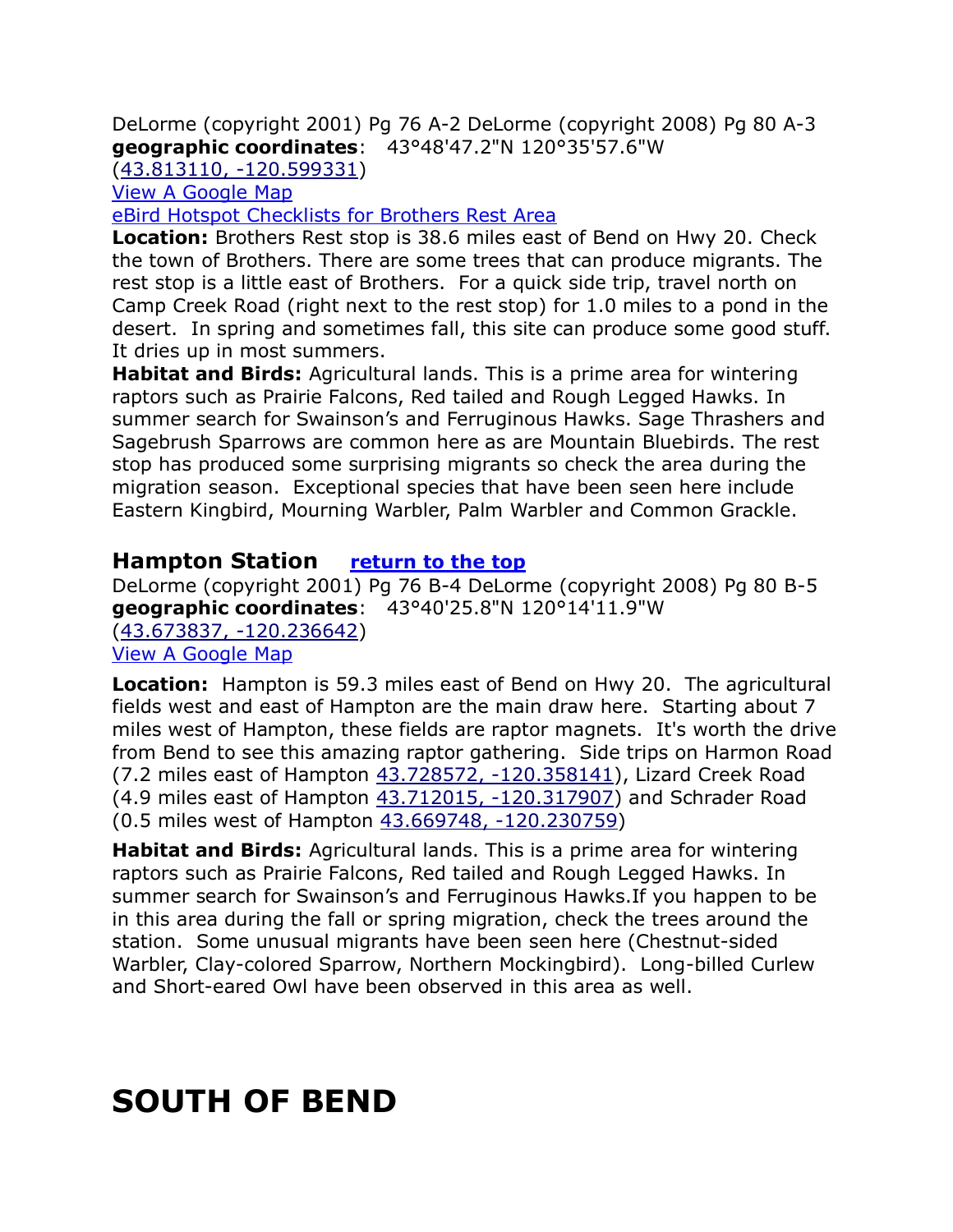DeLorme (copyright 2001) Pg 76 A-2 DeLorme (copyright 2008) Pg 80 A-3 **geographic coordinates**: 43°48'47.2"N 120°35'57.6"W

[\(43.813110, -120.599331\)](https://www.google.com/maps/place/43°48)

[View A Google Map](http://maps.google.com/maps/ms?hl=en&ie=UTF8&msa=0&ll=43.909766,-120.737&spn=0.900306,2.471924&z=9&msid=108036481085398338899.000462fa2f6e03b16225e)

[eBird Hotspot Checklists for Brothers Rest Area](http://ebird.org/ebird/hotspot/L1136539)

**Location:** Brothers Rest stop is 38.6 miles east of Bend on Hwy 20. Check the town of Brothers. There are some trees that can produce migrants. The rest stop is a little east of Brothers. For a quick side trip, travel north on Camp Creek Road (right next to the rest stop) for 1.0 miles to a pond in the desert. In spring and sometimes fall, this site can produce some good stuff. It dries up in most summers.

**Habitat and Birds:** Agricultural lands. This is a prime area for wintering raptors such as Prairie Falcons, Red tailed and Rough Legged Hawks. In summer search for Swainson's and Ferruginous Hawks. Sage Thrashers and Sagebrush Sparrows are common here as are Mountain Bluebirds. The rest stop has produced some surprising migrants so check the area during the migration season. Exceptional species that have been seen here include Eastern Kingbird, Mourning Warbler, Palm Warbler and Common Grackle.

#### <span id="page-22-0"></span>**Hampton Station [return to the top](#page-0-0)**

DeLorme (copyright 2001) Pg 76 B-4 DeLorme (copyright 2008) Pg 80 B-5 **geographic coordinates**: 43°40'25.8"N 120°14'11.9"W [\(43.673837, -120.236642\)](https://www.google.com/maps/place/43°40) [View A Google Map](http://maps.google.com/maps/ms?hl=en&ie=UTF8&msa=0&ll=43.909766,-120.737&spn=0.900306,2.471924&z=9&msid=108036481085398338899.000462fa2f6e03b16225e)

**Location:** Hampton is 59.3 miles east of Bend on Hwy 20. The agricultural fields west and east of Hampton are the main draw here. Starting about 7 miles west of Hampton, these fields are raptor magnets. It's worth the drive from Bend to see this amazing raptor gathering. Side trips on Harmon Road (7.2 miles east of Hampton [43.728572, -120.358141\)](https://www.google.com/maps/place/43°43), Lizard Creek Road (4.9 miles east of Hampton [43.712015, -120.317907\)](https://www.google.com/maps/place/43°42) and Schrader Road (0.5 miles west of Hampton [43.669748, -120.230759\)](https://www.google.com/maps/place/43°40)

**Habitat and Birds:** Agricultural lands. This is a prime area for wintering raptors such as Prairie Falcons, Red tailed and Rough Legged Hawks. In summer search for Swainson's and Ferruginous Hawks.If you happen to be in this area during the fall or spring migration, check the trees around the station. Some unusual migrants have been seen here (Chestnut-sided Warbler, Clay-colored Sparrow, Northern Mockingbird). Long-billed Curlew and Short-eared Owl have been observed in this area as well.

# <span id="page-22-1"></span>**SOUTH OF BEND**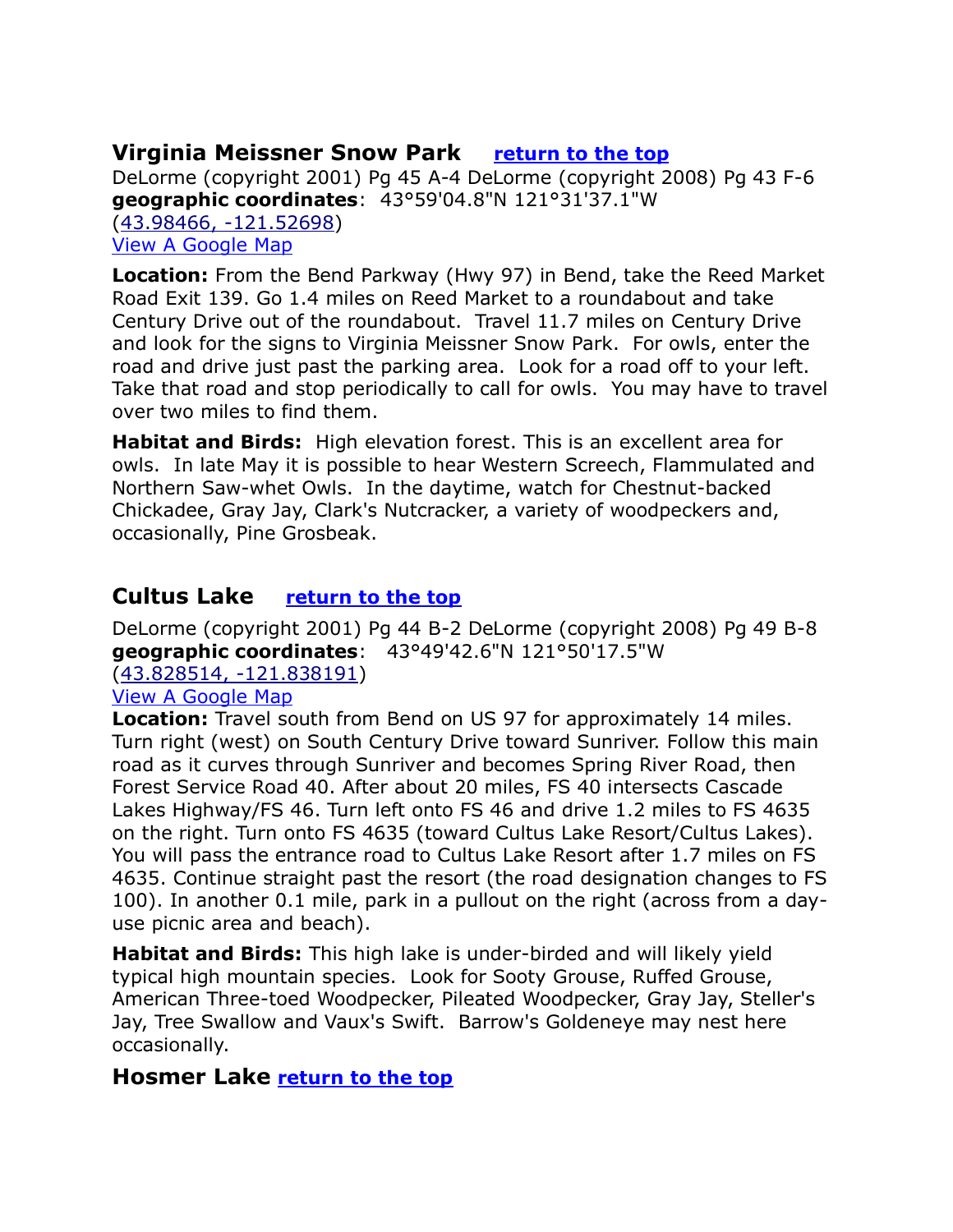# <span id="page-23-0"></span>**Virginia Meissner Snow Park [return to the top](#page-0-0)**

DeLorme (copyright 2001) Pg 45 A-4 DeLorme (copyright 2008) Pg 43 F-6 **geographic coordinates**: 43°59'04.8"N 121°31'37.1"W [\(43.98466, -121.52698\)](https://www.google.com/maps/place/43°59) [View A Google Map](http://maps.google.com/maps/ms?hl=en&ie=UTF8&msa=0&msid=108036481085398338899.000462fb0a41db5872b28&ll=43.826601,-121.617279&spn=0.901563,2.471924&z=9)

**Location:** From the Bend Parkway (Hwy 97) in Bend, take the Reed Market Road Exit 139. Go 1.4 miles on Reed Market to a roundabout and take Century Drive out of the roundabout. Travel 11.7 miles on Century Drive and look for the signs to Virginia Meissner Snow Park. For owls, enter the road and drive just past the parking area. Look for a road off to your left. Take that road and stop periodically to call for owls. You may have to travel over two miles to find them.

**Habitat and Birds:** High elevation forest. This is an excellent area for owls. In late May it is possible to hear Western Screech, Flammulated and Northern Saw-whet Owls. In the daytime, watch for Chestnut-backed Chickadee, Gray Jay, Clark's Nutcracker, a variety of woodpeckers and, occasionally, Pine Grosbeak.

# <span id="page-23-1"></span>**Cultus Lake [return to the top](#page-0-0)**

DeLorme (copyright 2001) Pg 44 B-2 DeLorme (copyright 2008) Pg 49 B-8 **geographic coordinates**: 43°49'42.6"N 121°50'17.5"W [\(43.828514, -121.838191\)](https://www.google.com/maps/place/43°49)

#### [View A Google Map](http://maps.google.com/maps/ms?hl=en&ie=UTF8&msa=0&msid=108036481085398338899.000462fb0a41db5872b28&ll=43.826601,-121.617279&spn=0.901563,2.471924&z=9)

**Location:** Travel south from Bend on US 97 for approximately 14 miles. Turn right (west) on South Century Drive toward Sunriver. Follow this main road as it curves through Sunriver and becomes Spring River Road, then Forest Service Road 40. After about 20 miles, FS 40 intersects Cascade Lakes Highway/FS 46. Turn left onto FS 46 and drive 1.2 miles to FS 4635 on the right. Turn onto FS 4635 (toward Cultus Lake Resort/Cultus Lakes). You will pass the entrance road to Cultus Lake Resort after 1.7 miles on FS 4635. Continue straight past the resort (the road designation changes to FS 100). In another 0.1 mile, park in a pullout on the right (across from a dayuse picnic area and beach).

**Habitat and Birds:** This high lake is under-birded and will likely yield typical high mountain species. Look for Sooty Grouse, Ruffed Grouse, American Three-toed Woodpecker, Pileated Woodpecker, Gray Jay, Steller's Jay, Tree Swallow and Vaux's Swift. Barrow's Goldeneye may nest here occasionally.

# <span id="page-23-2"></span>**Hosmer Lake [return to the top](#page-0-0)**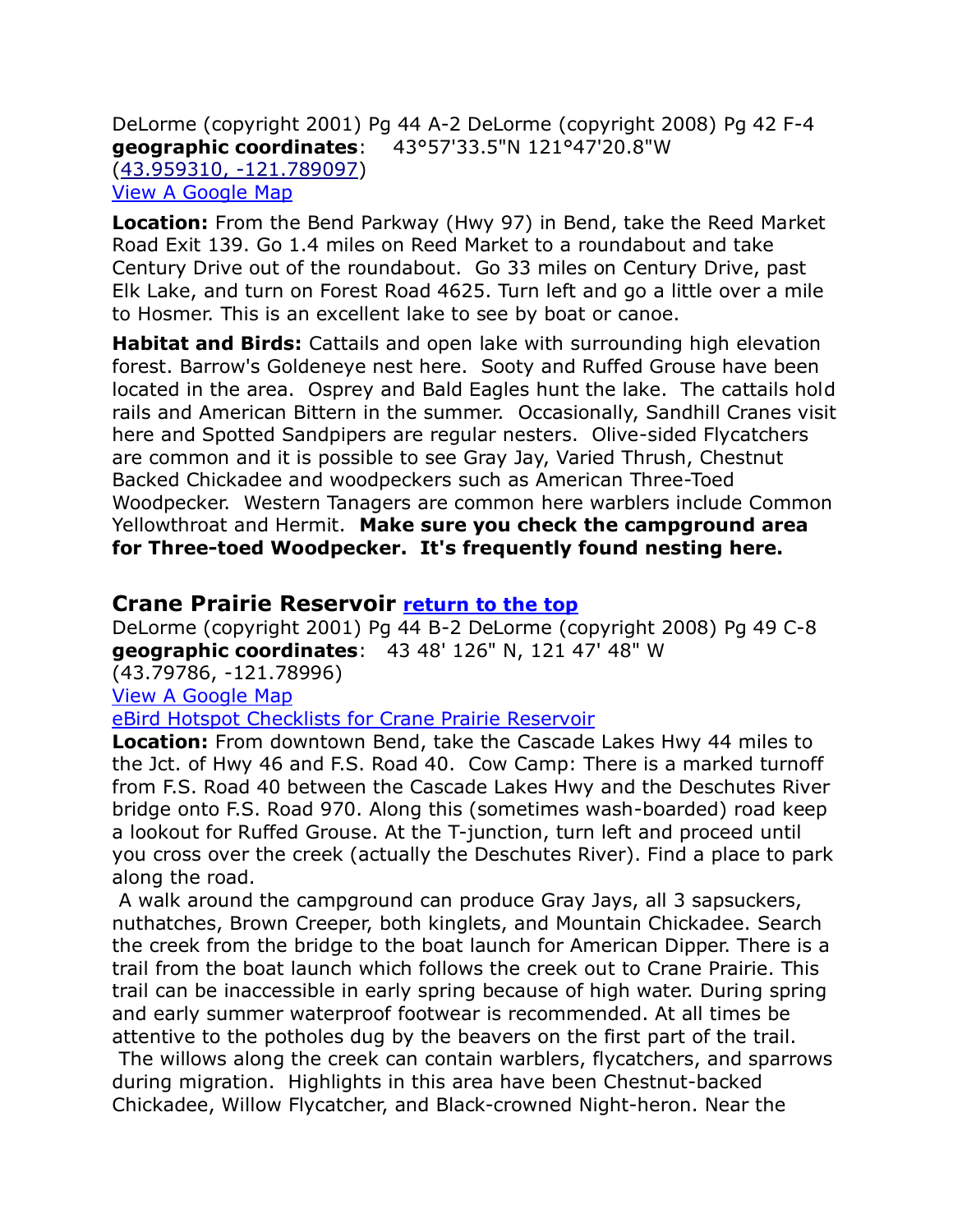DeLorme (copyright 2001) Pg 44 A-2 DeLorme (copyright 2008) Pg 42 F-4 **geographic coordinates**: 43°57'33.5"N 121°47'20.8"W [\(43.959310, -121.789097\)](https://www.google.com/maps/place/43°57) [View A Google Map](http://maps.google.com/maps/ms?hl=en&ie=UTF8&msa=0&msid=108036481085398338899.000462fb0a41db5872b28&ll=43.826601,-121.617279&spn=0.901563,2.471924&z=9)

**Location:** From the Bend Parkway (Hwy 97) in Bend, take the Reed Market Road Exit 139. Go 1.4 miles on Reed Market to a roundabout and take Century Drive out of the roundabout. Go 33 miles on Century Drive, past Elk Lake, and turn on Forest Road 4625. Turn left and go a little over a mile to Hosmer. This is an excellent lake to see by boat or canoe.

**Habitat and Birds:** Cattails and open lake with surrounding high elevation forest. Barrow's Goldeneye nest here. Sooty and Ruffed Grouse have been located in the area. Osprey and Bald Eagles hunt the lake. The cattails hold rails and American Bittern in the summer. Occasionally, Sandhill Cranes visit here and Spotted Sandpipers are regular nesters. Olive-sided Flycatchers are common and it is possible to see Gray Jay, Varied Thrush, Chestnut Backed Chickadee and woodpeckers such as American Three-Toed Woodpecker. Western Tanagers are common here warblers include Common Yellowthroat and Hermit. **Make sure you check the campground area for Three-toed Woodpecker. It's frequently found nesting here.**

#### <span id="page-24-0"></span>**Crane Prairie Reservoir [return to the top](#page-0-0)**

DeLorme (copyright 2001) Pg 44 B-2 DeLorme (copyright 2008) Pg 49 C-8 **geographic coordinates**: 43 48' 126" N, 121 47' 48" W

(43.79786, -121.78996)

[View A Google Map](http://maps.google.com/maps/ms?hl=en&ie=UTF8&msa=0&msid=108036481085398338899.000462fb0a41db5872b28&ll=43.826601,-121.617279&spn=0.901563,2.471924&z=9)

[eBird Hotspot Checklists for Crane Prairie Reservoir](http://ebird.org/ebird/hotspot/L1226009)

**Location:** From downtown Bend, take the Cascade Lakes Hwy 44 miles to the Jct. of Hwy 46 and F.S. Road 40. Cow Camp: There is a marked turnoff from F.S. Road 40 between the Cascade Lakes Hwy and the Deschutes River bridge onto F.S. Road 970. Along this (sometimes wash-boarded) road keep a lookout for Ruffed Grouse. At the T-junction, turn left and proceed until you cross over the creek (actually the Deschutes River). Find a place to park along the road.

A walk around the campground can produce Gray Jays, all 3 sapsuckers, nuthatches, Brown Creeper, both kinglets, and Mountain Chickadee. Search the creek from the bridge to the boat launch for American Dipper. There is a trail from the boat launch which follows the creek out to Crane Prairie. This trail can be inaccessible in early spring because of high water. During spring and early summer waterproof footwear is recommended. At all times be attentive to the potholes dug by the beavers on the first part of the trail.

The willows along the creek can contain warblers, flycatchers, and sparrows during migration. Highlights in this area have been Chestnut-backed Chickadee, Willow Flycatcher, and Black-crowned Night-heron. Near the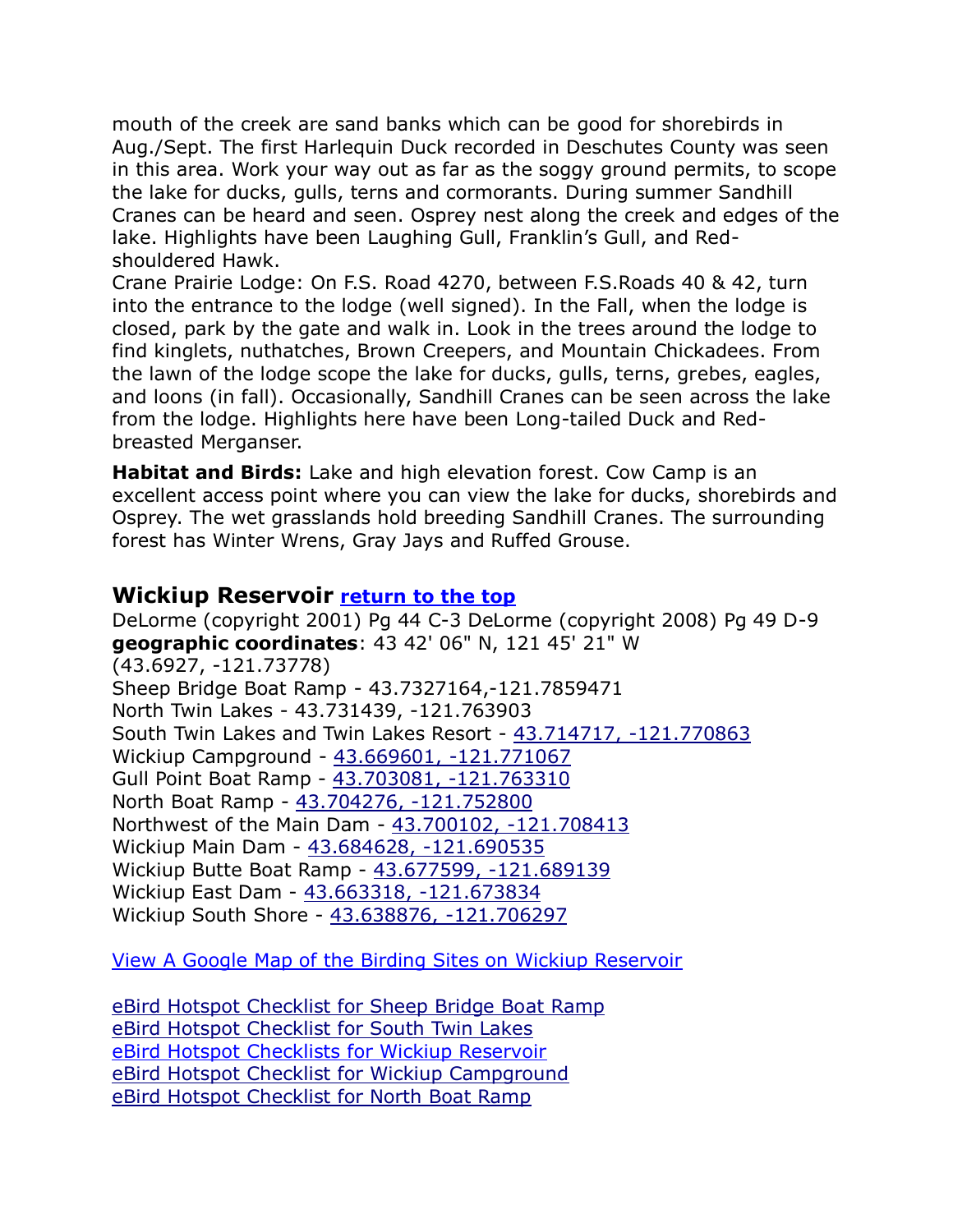mouth of the creek are sand banks which can be good for shorebirds in Aug./Sept. The first Harlequin Duck recorded in Deschutes County was seen in this area. Work your way out as far as the soggy ground permits, to scope the lake for ducks, gulls, terns and cormorants. During summer Sandhill Cranes can be heard and seen. Osprey nest along the creek and edges of the lake. Highlights have been Laughing Gull, Franklin's Gull, and Redshouldered Hawk.

Crane Prairie Lodge: On F.S. Road 4270, between F.S.Roads 40 & 42, turn into the entrance to the lodge (well signed). In the Fall, when the lodge is closed, park by the gate and walk in. Look in the trees around the lodge to find kinglets, nuthatches, Brown Creepers, and Mountain Chickadees. From the lawn of the lodge scope the lake for ducks, gulls, terns, grebes, eagles, and loons (in fall). Occasionally, Sandhill Cranes can be seen across the lake from the lodge. Highlights here have been Long-tailed Duck and Redbreasted Merganser.

**Habitat and Birds:** Lake and high elevation forest. Cow Camp is an excellent access point where you can view the lake for ducks, shorebirds and Osprey. The wet grasslands hold breeding Sandhill Cranes. The surrounding forest has Winter Wrens, Gray Jays and Ruffed Grouse.

### <span id="page-25-0"></span>**Wickiup Reservoir [return to the top](#page-0-0)**

DeLorme (copyright 2001) Pg 44 C-3 DeLorme (copyright 2008) Pg 49 D-9 **geographic coordinates**: 43 42' 06" N, 121 45' 21" W (43.6927, -121.73778) Sheep Bridge Boat Ramp - 43.7327164,-121.7859471 North Twin Lakes - 43.731439, -121.763903 South Twin Lakes and Twin Lakes Resort - [43.714717, -121.770863](https://www.google.com/maps/place/43°42) Wickiup Campground - [43.669601, -121.771067](https://www.google.com/maps/place/43°40) Gull Point Boat Ramp - [43.703081, -121.763310](https://www.google.com/maps/place/43°42) North Boat Ramp - [43.704276, -121.752800](https://www.google.com/maps/place/43°42) Northwest of the Main Dam - [43.700102, -121.708413](https://www.google.com/maps/place/43°42) Wickiup Main Dam - [43.684628, -121.690535](https://www.google.com/maps/place/43°41) Wickiup Butte Boat Ramp - [43.677599, -121.689139](https://www.google.com/maps/place/43°40) Wickiup East Dam - [43.663318, -121.673834](https://www.google.com/maps/place/43°39) Wickiup South Shore - [43.638876, -121.706297](https://www.google.com/maps/place/43°38)

[View A Google Map of the Birding Sites on Wickiup Reservoir](https://drive.google.com/open?id=1SmNxSSlrx2AtKinYE-dsVhv3I7U&usp=sharing)

[eBird Hotspot Checklist for Sheep Bridge Boat Ramp](file:///C:/Users/cgate/OneDrive/Documents/Bird%20Stuff/Wiki%20Page/Wiki2/Bird%20Finding%20Guide%20Draft%201/Paste%20Upgrade/eBird%20Hotspot%20Checklist%20for%20Sheep%20Bridge%20Boat%20Ramp)  [eBird Hotspot Checklist for South Twin Lakes](http://ebird.org/ebird/hotspot/L3611890) [eBird Hotspot Checklists for Wickiup Reservoir](http://ebird.org/ebird/hotspot/L159616) [eBird Hotspot Checklist for Wickiup Campground](http://ebird.org/ebird/hotspot/L2131639) [eBird Hotspot Checklist for North Boat Ramp](http://ebird.org/ebird/hotspot/L2131647)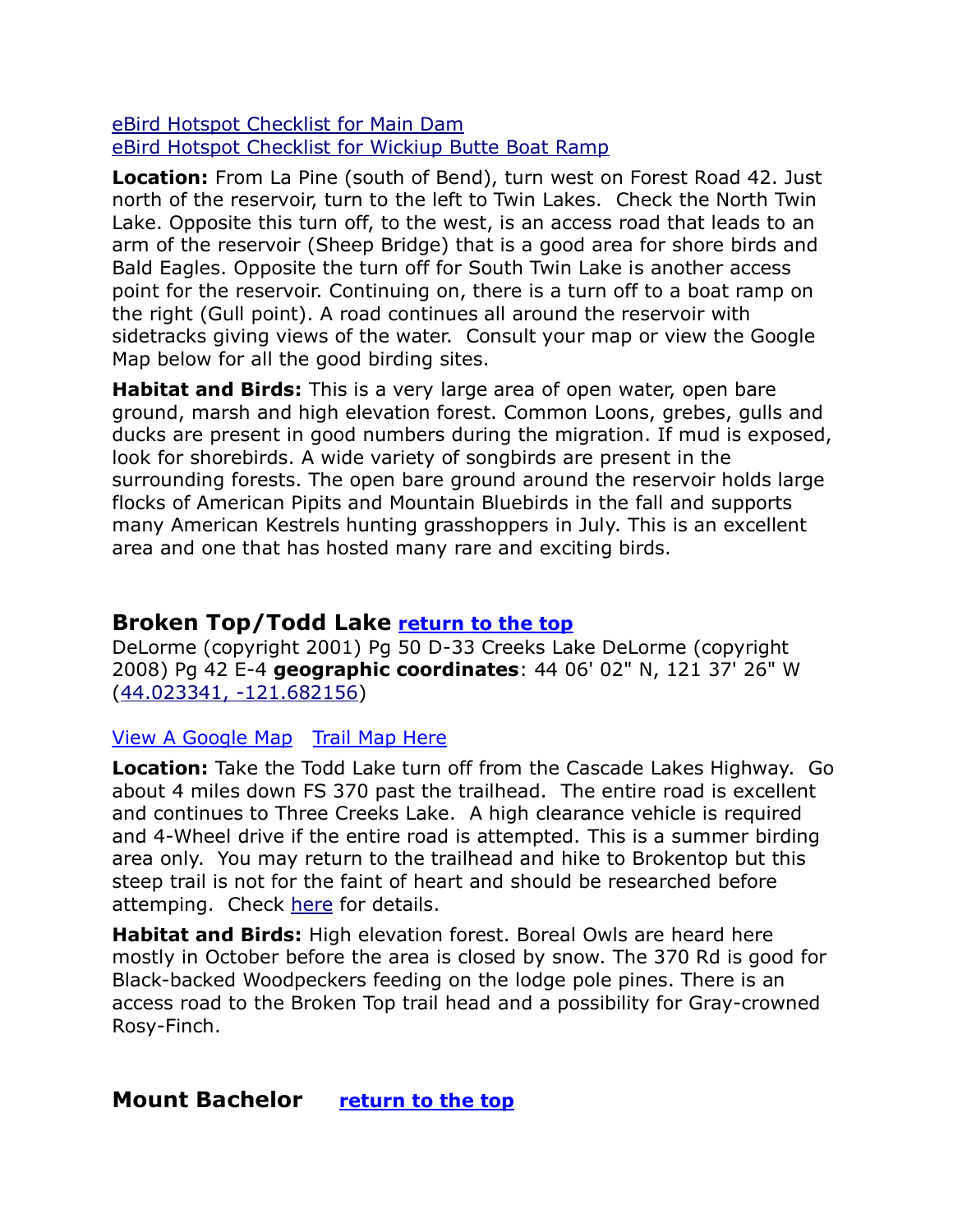[eBird Hotspot Checklist for Main Dam](http://ebird.org/ebird/hotspot/L2127192) [eBird Hotspot Checklist for Wickiup Butte Boat Ramp](http://ebird.org/ebird/hotspot/L2131593)

**Location:** From La Pine (south of Bend), turn west on Forest Road 42. Just north of the reservoir, turn to the left to Twin Lakes. Check the North Twin Lake. Opposite this turn off, to the west, is an access road that leads to an arm of the reservoir (Sheep Bridge) that is a good area for shore birds and Bald Eagles. Opposite the turn off for South Twin Lake is another access point for the reservoir. Continuing on, there is a turn off to a boat ramp on the right (Gull point). A road continues all around the reservoir with sidetracks giving views of the water. Consult your map or view the Google Map below for all the good birding sites.

**Habitat and Birds:** This is a very large area of open water, open bare ground, marsh and high elevation forest. Common Loons, grebes, gulls and ducks are present in good numbers during the migration. If mud is exposed, look for shorebirds. A wide variety of songbirds are present in the surrounding forests. The open bare ground around the reservoir holds large flocks of American Pipits and Mountain Bluebirds in the fall and supports many American Kestrels hunting grasshoppers in July. This is an excellent area and one that has hosted many rare and exciting birds.

# <span id="page-26-0"></span>**Broken Top/Todd Lake [return to the top](#page-0-0)**

DeLorme (copyright 2001) Pg 50 D-33 Creeks Lake DeLorme (copyright 2008) Pg 42 E-4 **geographic coordinates**: 44 06' 02" N, 121 37' 26" W [\(44.023341, -121.682156\)](https://www.google.com/maps/place/44°01)

#### [View A Google Map](http://maps.google.com/maps/ms?hl=en&ie=UTF8&msa=0&msid=108036481085398338899.000462fb0a41db5872b28&ll=43.826601,-121.617279&spn=0.901563,2.471924&z=9) [Trail Map Here](http://www.fs.usda.gov/wps/PA_WIDConsumption/wid/EnlargeImage.jsp?param5=null¶m1=PA_WIDConsumption¶m2=STELPRDB5393945¶m3=Dogs%20need%20to%20be%20on-leash%20on%20trails%20in%20the%20Three%20Sisters%20Wilderness%20(Green%20Lakes,%20Moraine%20Lake)

**Location:** Take the Todd Lake turn off from the Cascade Lakes Highway. Go about 4 miles down FS 370 past the trailhead. The entire road is excellent and continues to Three Creeks Lake. A high clearance vehicle is required and 4-Wheel drive if the entire road is attempted. This is a summer birding area only. You may return to the trailhead and hike to Brokentop but this steep trail is not for the faint of heart and should be researched before attemping. Check [here](http://www.summitpost.org/broken-top/150574) for details.

**Habitat and Birds:** High elevation forest. Boreal Owls are heard here mostly in October before the area is closed by snow. The 370 Rd is good for Black-backed Woodpeckers feeding on the lodge pole pines. There is an access road to the Broken Top trail head and a possibility for Gray-crowned Rosy-Finch.

# <span id="page-26-1"></span>**Mount Bachelor [return to the top](#page-0-0)**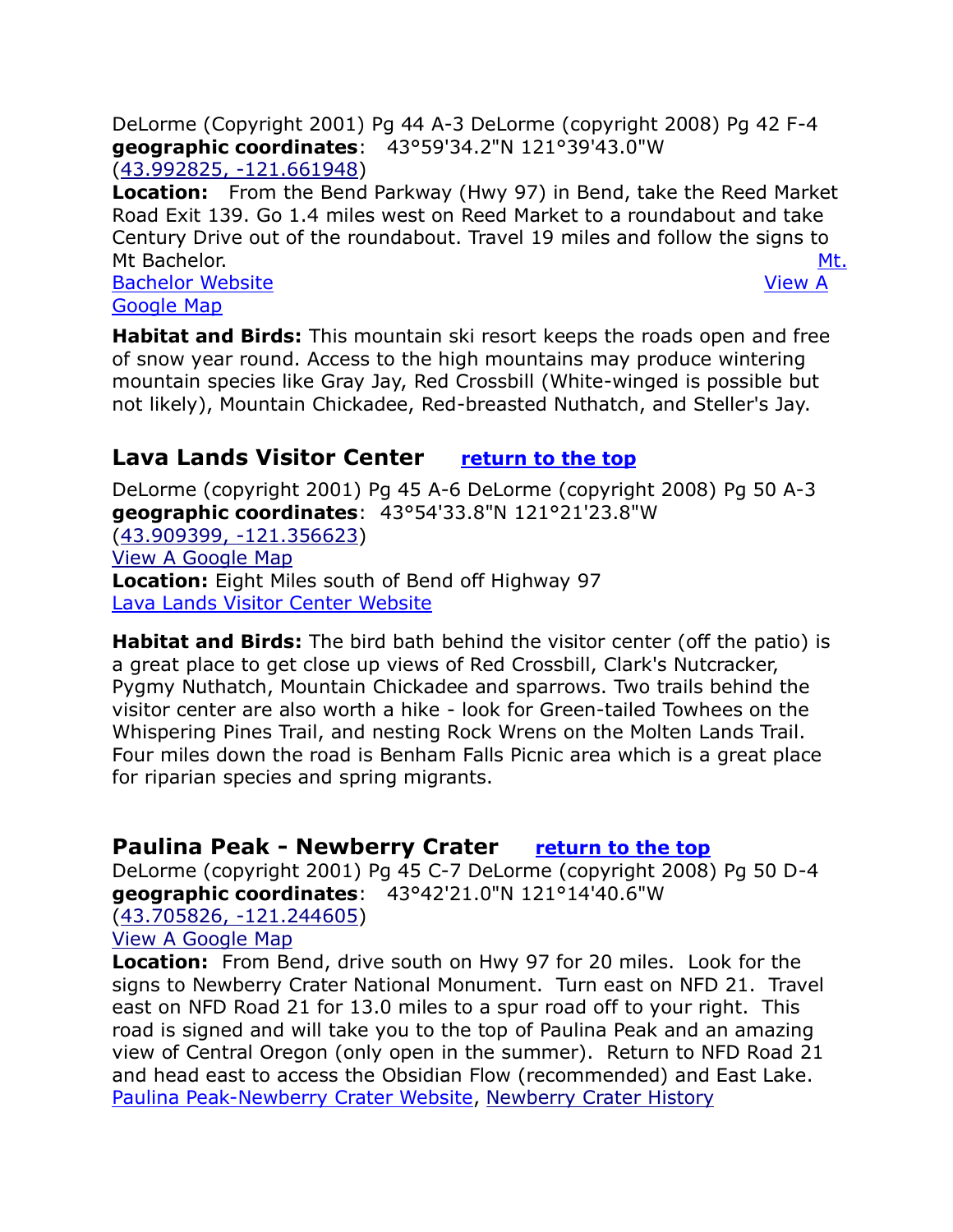DeLorme (Copyright 2001) Pg 44 A-3 DeLorme (copyright 2008) Pg 42 F-4 **geographic coordinates**: 43°59'34.2"N 121°39'43.0"W [\(43.992825, -121.661948\)](https://www.google.com/maps/place/43°59)

**Location:** From the Bend Parkway (Hwy 97) in Bend, take the Reed Market Road Exit 139. Go 1.4 miles west on Reed Market to a roundabout and take Century Drive out of the roundabout. Travel 19 miles and follow the signs to Mt Bachelor. [Mt.](https://www.mtbachelor.com/)  [Bachelor Website](https://www.mtbachelor.com/) **View A** [Google Map](http://maps.google.com/maps/ms?hl=en&ie=UTF8&msa=0&msid=108036481085398338899.000462fb0a41db5872b28&ll=43.826601,-121.617279&spn=0.901563,2.471924&z=9)

**Habitat and Birds:** This mountain ski resort keeps the roads open and free of snow year round. Access to the high mountains may produce wintering mountain species like Gray Jay, Red Crossbill (White-winged is possible but not likely), Mountain Chickadee, Red-breasted Nuthatch, and Steller's Jay.

# <span id="page-27-0"></span>**Lava Lands Visitor Center [return to the top](#page-0-0)**

DeLorme (copyright 2001) Pg 45 A-6 DeLorme (copyright 2008) Pg 50 A-3 **geographic coordinates**: 43°54'33.8"N 121°21'23.8"W [\(43.909399, -121.356623\)](https://www.google.com/maps/place/43°54) [View A Google Map](https://www.google.com/maps/d/edit?mid=zVl1oTDALjf4.k5P_3E3BHNCg)  **Location:** Eight Miles south of Bend off Highway 97 [Lava Lands Visitor Center Website](http://www.fs.fed.us/r6/centraloregon/newberrynvm/lavalands.shtml) 

**Habitat and Birds:** The bird bath behind the visitor center (off the patio) is a great place to get close up views of Red Crossbill, Clark's Nutcracker, Pygmy Nuthatch, Mountain Chickadee and sparrows. Two trails behind the visitor center are also worth a hike - look for Green-tailed Towhees on the Whispering Pines Trail, and nesting Rock Wrens on the Molten Lands Trail. Four miles down the road is Benham Falls Picnic area which is a great place for riparian species and spring migrants.

# <span id="page-27-1"></span>**Paulina Peak - Newberry Crater [return to the top](#page-0-0)**

DeLorme (copyright 2001) Pg 45 C-7 DeLorme (copyright 2008) Pg 50 D-4 **geographic coordinates**: 43°42'21.0"N 121°14'40.6"W [\(43.705826, -121.244605\)](https://www.google.com/maps/place/43°42) [View A Google Map](https://www.google.com/maps/d/edit?mid=zVl1oTDALjf4.kAIQrI-oGn5A)

**Location:** From Bend, drive south on Hwy 97 for 20 miles. Look for the signs to Newberry Crater National Monument. Turn east on NFD 21. Travel east on NFD Road 21 for 13.0 miles to a spur road off to your right. This road is signed and will take you to the top of Paulina Peak and an amazing view of Central Oregon (only open in the summer). Return to NFD Road 21 and head east to access the Obsidian Flow (recommended) and East Lake. [Paulina Peak-Newberry Crater Website,](http://www.summitpost.org/mountain/rock/150880/paulina-peak-newberry-crater.html) [Newberry Crater History](https://en.wikipedia.org/wiki/Newberry_Volcano)